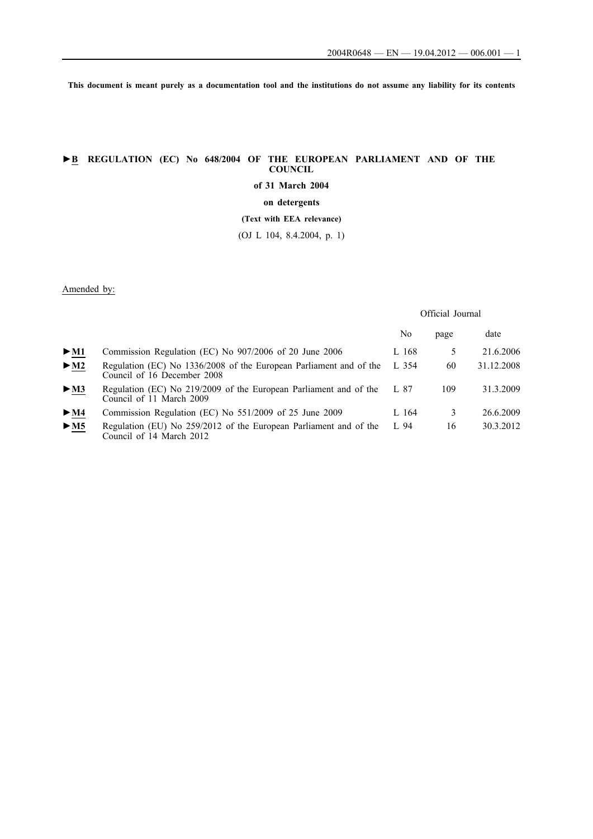**This document is meant purely as a documentation tool and the institutions do not assume any liability for its contents**

# **►B REGULATION (EC) No 648/2004 OF THE EUROPEAN PARLIAMENT AND OF THE COUNCIL**

**of 31 March 2004**

**on detergents**

**(Text with EEA relevance)**

(OJ L 104, 8.4.2004, p. 1)

# Amended by:

## Official Journal

|                                 |                                                                                                   | No      | page | date       |
|---------------------------------|---------------------------------------------------------------------------------------------------|---------|------|------------|
| $>$ M1                          | Commission Regulation (EC) No 907/2006 of 20 June 2006                                            | L 168   |      | 21.6.2006  |
| $\triangleright$ M2             | Regulation (EC) No 1336/2008 of the European Parliament and of the<br>Council of 16 December 2008 | L $354$ | 60   | 31.12.2008 |
| $\triangleright$ <u>M3</u>      | Regulation (EC) No 219/2009 of the European Parliament and of the<br>Council of 11 March 2009     | L 87    | 109  | 31.3.2009  |
| $\blacktriangleright$ M4        | Commission Regulation (EC) No 551/2009 of 25 June 2009                                            | L 164   | 3    | 26.6.2009  |
| $\triangleright$ M <sub>5</sub> | Regulation (EU) No 259/2012 of the European Parliament and of the<br>Council of 14 March 2012     | L 94    | 16   | 30.3.2012  |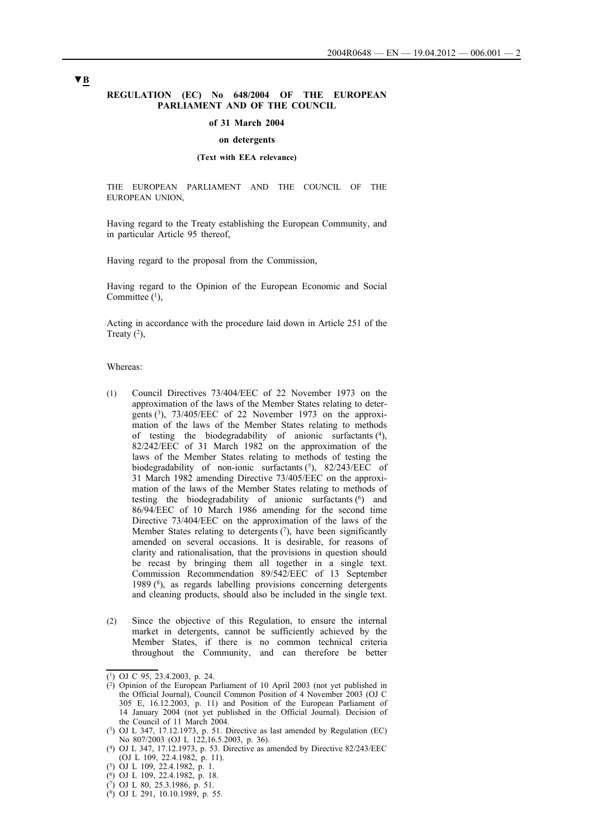### **REGULATION (EC) No 648/2004 OF THE EUROPEAN PARLIAMENT AND OF THE COUNCIL**

#### **of 31 March 2004**

### **on detergents**

## **(Text with EEA relevance)**

THE EUROPEAN PARLIAMENT AND THE COUNCIL OF THE EUROPEAN UNION,

Having regard to the Treaty establishing the European Community, and in particular Article 95 thereof,

Having regard to the proposal from the Commission,

Having regard to the Opinion of the European Economic and Social Committee  $(1)$ ,

Acting in accordance with the procedure laid down in Article 251 of the Treaty  $(2)$ ,

Whereas:

- (1) Council Directives 73/404/EEC of 22 November 1973 on the approximation of the laws of the Member States relating to detergents (3), 73/405/EEC of 22 November 1973 on the approximation of the laws of the Member States relating to methods of testing the biodegradability of anionic surfactants (4), 82/242/EEC of 31 March 1982 on the approximation of the laws of the Member States relating to methods of testing the biodegradability of non-ionic surfactants  $(5)$ , 82/243/EEC of 31 March 1982 amending Directive 73/405/EEC on the approximation of the laws of the Member States relating to methods of testing the biodegradability of anionic surfactants  $(6)$  and 86/94/EEC of 10 March 1986 amending for the second time Directive 73/404/EEC on the approximation of the laws of the Member States relating to detergents  $(7)$ , have been significantly amended on several occasions. It is desirable, for reasons of clarity and rationalisation, that the provisions in question should be recast by bringing them all together in a single text. Commission Recommendation 89/542/EEC of 13 September 1989 (8), as regards labelling provisions concerning detergents and cleaning products, should also be included in the single text.
- (2) Since the objective of this Regulation, to ensure the internal market in detergents, cannot be sufficiently achieved by the Member States, if there is no common technical criteria throughout the Community, and can therefore be better

 $\overline{(1)}$  OJ C 95, 23.4.2003, p. 24.

 $(2)$  Opinion of the European Parliament of 10 April 2003 (not yet published in the Official Journal), Council Common Position of 4 November 2003 (OJ C 305 E, 16.12.2003, p. 11) and Position of the European Parliament of 14 January 2004 (not yet published in the Official Journal). Decision of the Council of 11 March 2004.

 $(3)$  OJ L 347, 17.12.1973, p. 51. Directive as last amended by Regulation (EC) No 807/2003 (OJ L 122,16.5.2003, p. 36).

<sup>(4)</sup> OJ L 347, 17.12.1973, p. 53. Directive as amended by Directive 82/243/EEC (OJ L 109, 22.4.1982, p. 11).

<sup>(5)</sup> OJ L 109, 22.4.1982, p. 1.

<sup>(6)</sup> OJ L 109, 22.4.1982, p. 18.

<sup>(7)</sup> OJ L 80, 25.3.1986, p. 51.

 $(8)$  OJ L 291, 10.10.1989, p. 55.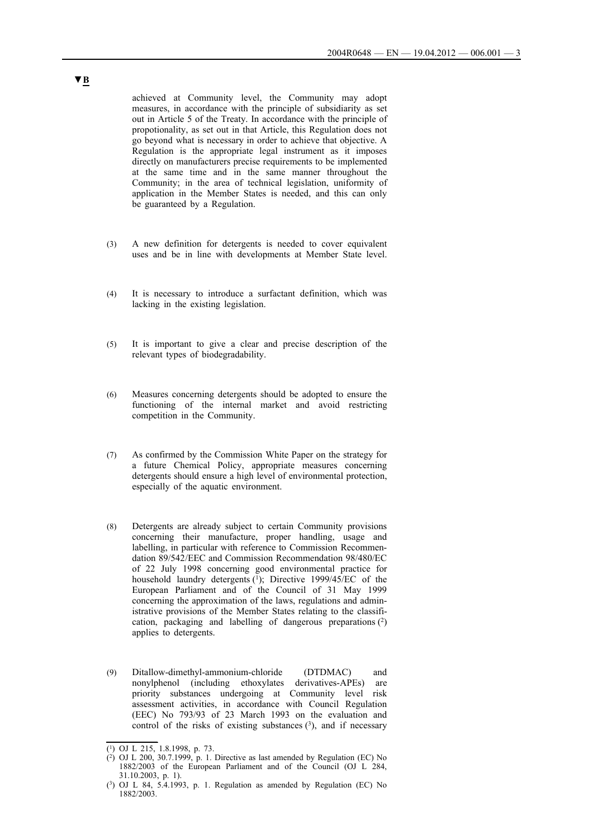achieved at Community level, the Community may adopt measures, in accordance with the principle of subsidiarity as set out in Article 5 of the Treaty. In accordance with the principle of propotionality, as set out in that Article, this Regulation does not go beyond what is necessary in order to achieve that objective. A Regulation is the appropriate legal instrument as it imposes directly on manufacturers precise requirements to be implemented at the same time and in the same manner throughout the Community; in the area of technical legislation, uniformity of application in the Member States is needed, and this can only be guaranteed by a Regulation.

- (3) A new definition for detergents is needed to cover equivalent uses and be in line with developments at Member State level.
- (4) It is necessary to introduce a surfactant definition, which was lacking in the existing legislation.
- (5) It is important to give a clear and precise description of the relevant types of biodegradability.
- (6) Measures concerning detergents should be adopted to ensure the functioning of the internal market and avoid restricting competition in the Community.
- (7) As confirmed by the Commission White Paper on the strategy for a future Chemical Policy, appropriate measures concerning detergents should ensure a high level of environmental protection, especially of the aquatic environment.
- (8) Detergents are already subject to certain Community provisions concerning their manufacture, proper handling, usage and labelling, in particular with reference to Commission Recommendation 89/542/EEC and Commission Recommendation 98/480/EC of 22 July 1998 concerning good environmental practice for household laundry detergents (1); Directive 1999/45/EC of the European Parliament and of the Council of 31 May 1999 concerning the approximation of the laws, regulations and administrative provisions of the Member States relating to the classification, packaging and labelling of dangerous preparations (2) applies to detergents.
- (9) Ditallow-dimethyl-ammonium-chloride (DTDMAC) and nonylphenol (including ethoxylates derivatives-APEs) are priority substances undergoing at Community level risk assessment activities, in accordance with Council Regulation (EEC) No 793/93 of 23 March 1993 on the evaluation and control of the risks of existing substances  $(3)$ , and if necessary

 $\overline{(^1)}$  OJ L 215, 1.8.1998, p. 73.

 $(2)$  OJ L 200, 30.7.1999, p. 1. Directive as last amended by Regulation (EC) No 1882/2003 of the European Parliament and of the Council (OJ L 284, 31.10.2003, p. 1).

<sup>(3)</sup> OJ L 84, 5.4.1993, p. 1. Regulation as amended by Regulation (EC) No 1882/2003.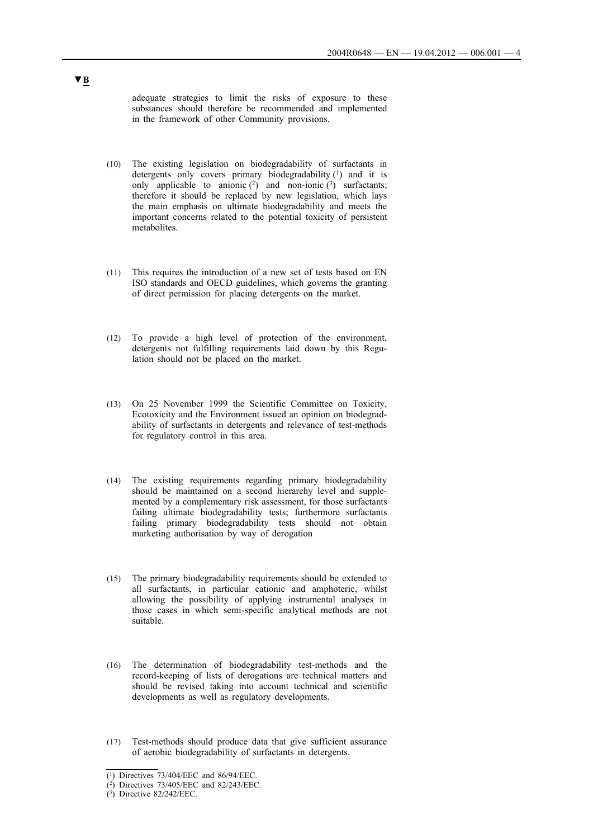adequate strategies to limit the risks of exposure to these substances should therefore be recommended and implemented in the framework of other Community provisions.

- (10) The existing legislation on biodegradability of surfactants in detergents only covers primary biodegradability (1) and it is only applicable to anionic  $(2)$  and non-ionic  $(3)$  surfactants; therefore it should be replaced by new legislation, which lays the main emphasis on ultimate biodegradability and meets the important concerns related to the potential toxicity of persistent metabolites.
- (11) This requires the introduction of a new set of tests based on EN ISO standards and OECD guidelines, which governs the granting of direct permission for placing detergents on the market.
- (12) To provide a high level of protection of the environment, detergents not fulfilling requirements laid down by this Regulation should not be placed on the market.
- (13) On 25 November 1999 the Scientific Committee on Toxicity, Ecotoxicity and the Environment issued an opinion on biodegradability of surfactants in detergents and relevance of test-methods for regulatory control in this area.
- (14) The existing requirements regarding primary biodegradability should be maintained on a second hierarchy level and supplemented by a complementary risk assessment, for those surfactants failing ultimate biodegradability tests; furthermore surfactants failing primary biodegradability tests should not obtain marketing authorisation by way of derogation
- (15) The primary biodegradability requirements should be extended to all surfactants, in particular cationic and amphoteric, whilst allowing the possibility of applying instrumental analyses in those cases in which semi-specific analytical methods are not suitable.
- (16) The determination of biodegradability test-methods and the record-keeping of lists of derogations are technical matters and should be revised taking into account technical and scientific developments as well as regulatory developments.
- (17) Test-methods should produce data that give sufficient assurance of aerobic biodegradability of surfactants in detergents.

<sup>(1)</sup> Directives 73/404/EEC and 86/94/EEC.

<sup>(2)</sup> Directives 73/405/EEC and 82/243/EEC.

 $(3)$  Directive 82/242/EEC.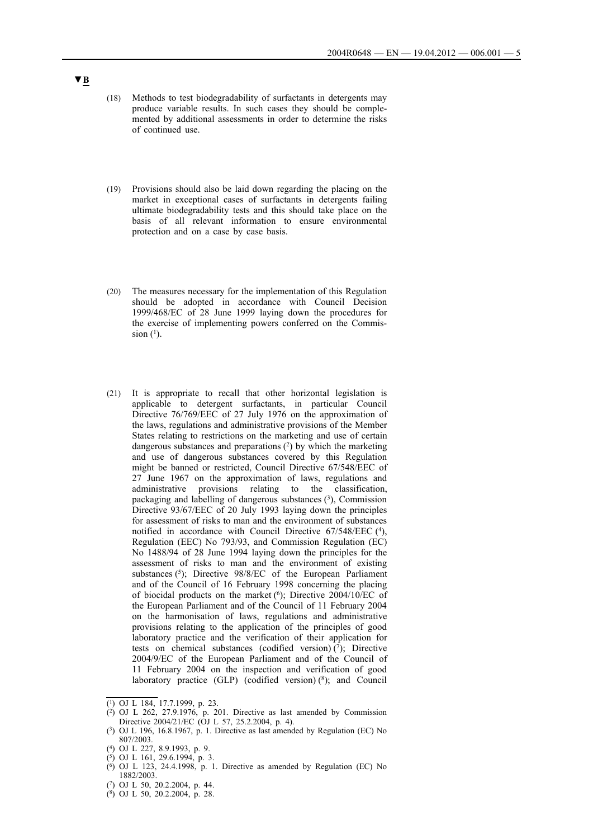- (18) Methods to test biodegradability of surfactants in detergents may produce variable results. In such cases they should be complemented by additional assessments in order to determine the risks of continued use.
- (19) Provisions should also be laid down regarding the placing on the market in exceptional cases of surfactants in detergents failing ultimate biodegradability tests and this should take place on the basis of all relevant information to ensure environmental protection and on a case by case basis.
- (20) The measures necessary for the implementation of this Regulation should be adopted in accordance with Council Decision 1999/468/EC of 28 June 1999 laying down the procedures for the exercise of implementing powers conferred on the Commission  $(1)$ .
- (21) It is appropriate to recall that other horizontal legislation is applicable to detergent surfactants, in particular Council Directive 76/769/EEC of 27 July 1976 on the approximation of the laws, regulations and administrative provisions of the Member States relating to restrictions on the marketing and use of certain dangerous substances and preparations  $(2)$  by which the marketing and use of dangerous substances covered by this Regulation might be banned or restricted, Council Directive 67/548/EEC of 27 June 1967 on the approximation of laws, regulations and administrative provisions relating to the classification, packaging and labelling of dangerous substances (3), Commission Directive 93/67/EEC of 20 July 1993 laying down the principles for assessment of risks to man and the environment of substances notified in accordance with Council Directive 67/548/EEC (4), Regulation (EEC) No 793/93, and Commission Regulation (EC) No 1488/94 of 28 June 1994 laying down the principles for the assessment of risks to man and the environment of existing substances (5); Directive 98/8/EC of the European Parliament and of the Council of 16 February 1998 concerning the placing of biocidal products on the market (6); Directive 2004/10/EC of the European Parliament and of the Council of 11 February 2004 on the harmonisation of laws, regulations and administrative provisions relating to the application of the principles of good laboratory practice and the verification of their application for tests on chemical substances (codified version) $(7)$ ; Directive 2004/9/EC of the European Parliament and of the Council of 11 February 2004 on the inspection and verification of good laboratory practice  $(GLP)$  (codified version)  $(^{8})$ ; and Council

(7) OJ L 50, 20.2.2004, p. 44.

 $\overline{(^1)}$  OJ L 184, 17.7.1999, p. 23.

 $(2)$  OJ L 262, 27.9.1976, p. 201. Directive as last amended by Commission Directive 2004/21/EC (OJ L 57, 25.2.2004, p. 4).

<sup>(3)</sup> OJ L 196, 16.8.1967, p. 1. Directive as last amended by Regulation (EC) No 807/2003.

<sup>(4)</sup> OJ L 227, 8.9.1993, p. 9.

 $(5)$  OJ L 161, 29.6.1994, p. 3.

 $(6)$  OJ L 123, 24.4.1998, p. 1. Directive as amended by Regulation (EC) No 1882/2003.

<sup>(8)</sup> OJ L 50, 20.2.2004, p. 28.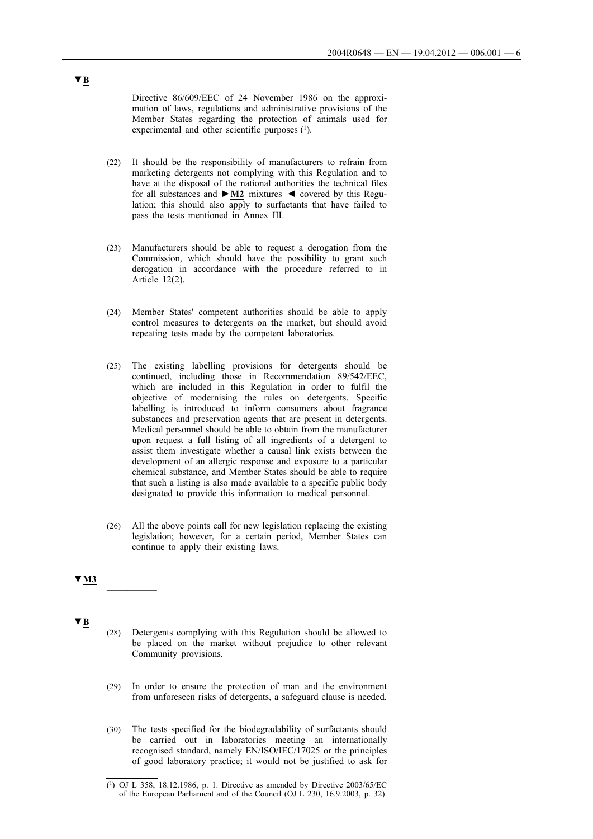Directive 86/609/EEC of 24 November 1986 on the approximation of laws, regulations and administrative provisions of the Member States regarding the protection of animals used for experimental and other scientific purposes  $(1)$ .

- (22) It should be the responsibility of manufacturers to refrain from marketing detergents not complying with this Regulation and to have at the disposal of the national authorities the technical files for all substances and **►M2** mixtures ◄ covered by this Regulation; this should also apply to surfactants that have failed to pass the tests mentioned in Annex III.
- (23) Manufacturers should be able to request a derogation from the Commission, which should have the possibility to grant such derogation in accordance with the procedure referred to in Article 12(2).
- (24) Member States' competent authorities should be able to apply control measures to detergents on the market, but should avoid repeating tests made by the competent laboratories.
- (25) The existing labelling provisions for detergents should be continued, including those in Recommendation 89/542/EEC, which are included in this Regulation in order to fulfil the objective of modernising the rules on detergents. Specific labelling is introduced to inform consumers about fragrance substances and preservation agents that are present in detergents. Medical personnel should be able to obtain from the manufacturer upon request a full listing of all ingredients of a detergent to assist them investigate whether a causal link exists between the development of an allergic response and exposure to a particular chemical substance, and Member States should be able to require that such a listing is also made available to a specific public body designated to provide this information to medical personnel.
- (26) All the above points call for new legislation replacing the existing legislation; however, for a certain period, Member States can continue to apply their existing laws.

# **▼M3** \_\_\_\_\_\_\_\_\_\_

**▼B**

- (28) Detergents complying with this Regulation should be allowed to be placed on the market without prejudice to other relevant Community provisions.
- (29) In order to ensure the protection of man and the environment from unforeseen risks of detergents, a safeguard clause is needed.
- (30) The tests specified for the biodegradability of surfactants should be carried out in laboratories meeting an internationally recognised standard, namely EN/ISO/IEC/17025 or the principles of good laboratory practice; it would not be justified to ask for

<sup>(1)</sup> OJ L 358, 18.12.1986, p. 1. Directive as amended by Directive 2003/65/EC of the European Parliament and of the Council (OJ L 230, 16.9.2003, p. 32).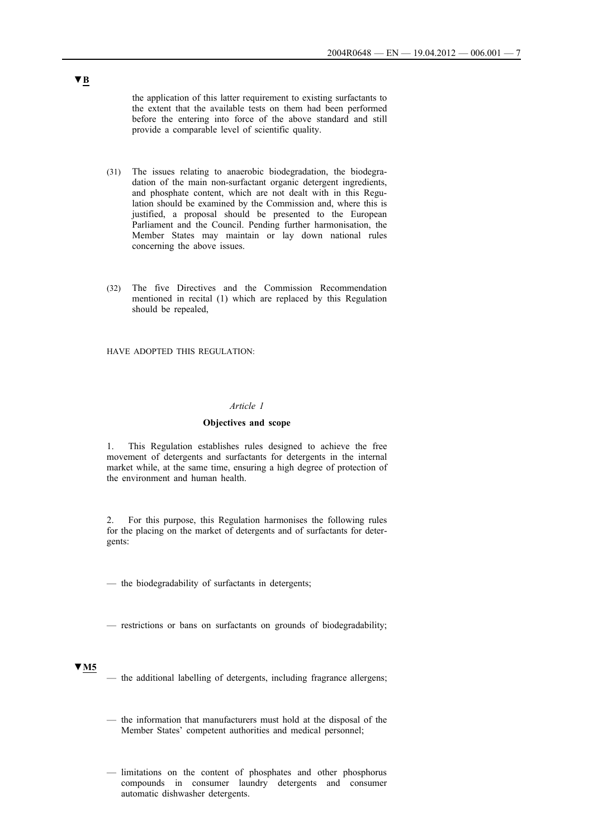the application of this latter requirement to existing surfactants to the extent that the available tests on them had been performed before the entering into force of the above standard and still provide a comparable level of scientific quality.

- (31) The issues relating to anaerobic biodegradation, the biodegradation of the main non-surfactant organic detergent ingredients, and phosphate content, which are not dealt with in this Regulation should be examined by the Commission and, where this is justified, a proposal should be presented to the European Parliament and the Council. Pending further harmonisation, the Member States may maintain or lay down national rules concerning the above issues.
- (32) The five Directives and the Commission Recommendation mentioned in recital (1) which are replaced by this Regulation should be repealed,

HAVE ADOPTED THIS REGULATION:

### *Article 1*

### **Objectives and scope**

1. This Regulation establishes rules designed to achieve the free movement of detergents and surfactants for detergents in the internal market while, at the same time, ensuring a high degree of protection of the environment and human health.

2. For this purpose, this Regulation harmonises the following rules for the placing on the market of detergents and of surfactants for detergents:

— the biodegradability of surfactants in detergents;

— restrictions or bans on surfactants on grounds of biodegradability;

### **▼M5**

- the additional labelling of detergents, including fragrance allergens;
- the information that manufacturers must hold at the disposal of the Member States' competent authorities and medical personnel;
- limitations on the content of phosphates and other phosphorus compounds in consumer laundry detergents and consumer automatic dishwasher detergents.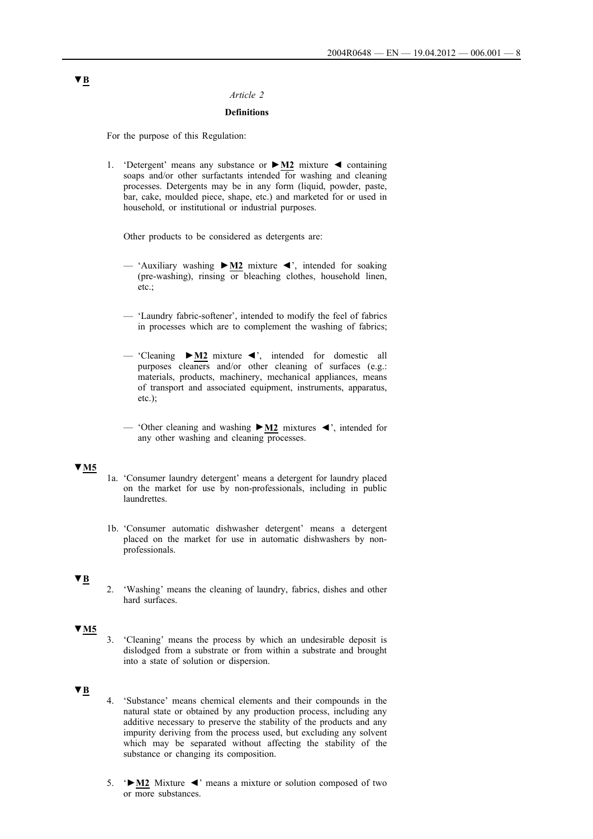## *Article 2*

### **Definitions**

For the purpose of this Regulation:

1. 'Detergent' means any substance or **►M2** mixture ◄ containing soaps and/or other surfactants intended for washing and cleaning processes. Detergents may be in any form (liquid, powder, paste, bar, cake, moulded piece, shape, etc.) and marketed for or used in household, or institutional or industrial purposes.

Other products to be considered as detergents are:

- 'Auxiliary washing **►M2** mixture ◄', intended for soaking (pre-washing), rinsing or bleaching clothes, household linen, etc.;
- 'Laundry fabric-softener', intended to modify the feel of fabrics in processes which are to complement the washing of fabrics;
- 'Cleaning **►M2** mixture ◄', intended for domestic all purposes cleaners and/or other cleaning of surfaces (e.g.: materials, products, machinery, mechanical appliances, means of transport and associated equipment, instruments, apparatus, etc.);
- 'Other cleaning and washing **►M2** mixtures ◄', intended for any other washing and cleaning processes.

## **▼M5**

- 1a. 'Consumer laundry detergent' means a detergent for laundry placed on the market for use by non-professionals, including in public laundrettes.
- 1b. 'Consumer automatic dishwasher detergent' means a detergent placed on the market for use in automatic dishwashers by nonprofessionals.

## **▼B**

2. 'Washing' means the cleaning of laundry, fabrics, dishes and other hard surfaces.

# **▼M5**

3. 'Cleaning' means the process by which an undesirable deposit is dislodged from a substrate or from within a substrate and brought into a state of solution or dispersion.

### **▼B**

- 4. 'Substance' means chemical elements and their compounds in the natural state or obtained by any production process, including any additive necessary to preserve the stability of the products and any impurity deriving from the process used, but excluding any solvent which may be separated without affecting the stability of the substance or changing its composition.
- 5. '**►M2** Mixture ◄' means a mixture or solution composed of two or more substances.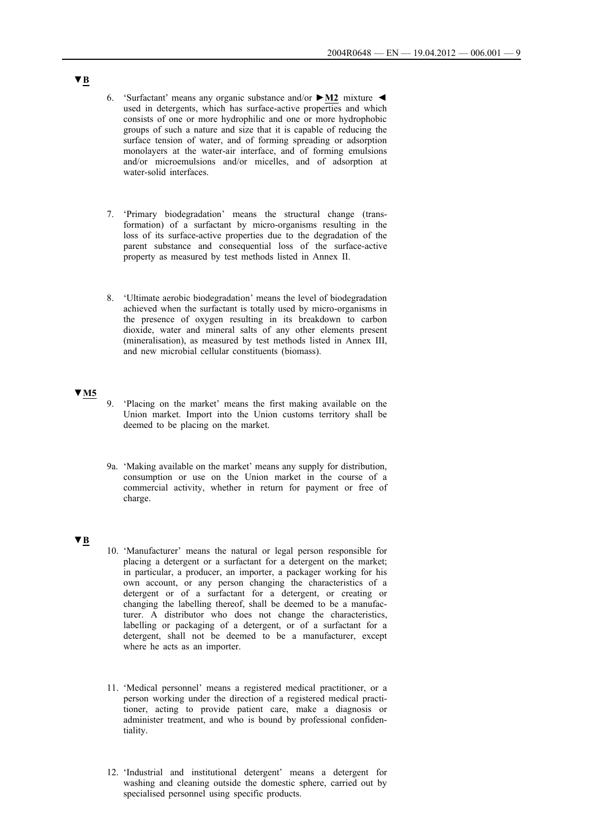- 6. 'Surfactant' means any organic substance and/or **►M2** mixture ◄ used in detergents, which has surface-active properties and which consists of one or more hydrophilic and one or more hydrophobic groups of such a nature and size that it is capable of reducing the surface tension of water, and of forming spreading or adsorption monolayers at the water-air interface, and of forming emulsions and/or microemulsions and/or micelles, and of adsorption at water-solid interfaces.
- 7. 'Primary biodegradation' means the structural change (transformation) of a surfactant by micro-organisms resulting in the loss of its surface-active properties due to the degradation of the parent substance and consequential loss of the surface-active property as measured by test methods listed in Annex II.
- 8. 'Ultimate aerobic biodegradation' means the level of biodegradation achieved when the surfactant is totally used by micro-organisms in the presence of oxygen resulting in its breakdown to carbon dioxide, water and mineral salts of any other elements present (mineralisation), as measured by test methods listed in Annex III, and new microbial cellular constituents (biomass).

## **▼M5**

- 9. 'Placing on the market' means the first making available on the Union market. Import into the Union customs territory shall be deemed to be placing on the market.
- 9a. 'Making available on the market' means any supply for distribution, consumption or use on the Union market in the course of a commercial activity, whether in return for payment or free of charge.

## **▼B**

- 10. 'Manufacturer' means the natural or legal person responsible for placing a detergent or a surfactant for a detergent on the market; in particular, a producer, an importer, a packager working for his own account, or any person changing the characteristics of a detergent or of a surfactant for a detergent, or creating or changing the labelling thereof, shall be deemed to be a manufacturer. A distributor who does not change the characteristics, labelling or packaging of a detergent, or of a surfactant for a detergent, shall not be deemed to be a manufacturer, except where he acts as an importer.
- 11. 'Medical personnel' means a registered medical practitioner, or a person working under the direction of a registered medical practitioner, acting to provide patient care, make a diagnosis or administer treatment, and who is bound by professional confidentiality.
- 12. 'Industrial and institutional detergent' means a detergent for washing and cleaning outside the domestic sphere, carried out by specialised personnel using specific products.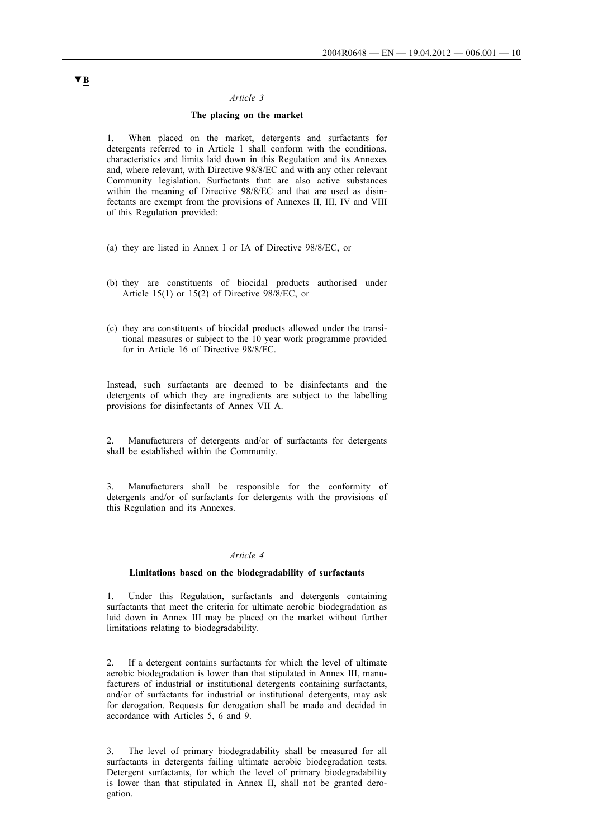### *Article 3*

## **The placing on the market**

1. When placed on the market, detergents and surfactants for detergents referred to in Article 1 shall conform with the conditions, characteristics and limits laid down in this Regulation and its Annexes and, where relevant, with Directive 98/8/EC and with any other relevant Community legislation. Surfactants that are also active substances within the meaning of Directive 98/8/EC and that are used as disinfectants are exempt from the provisions of Annexes II, III, IV and VIII of this Regulation provided:

- (a) they are listed in Annex I or IA of Directive 98/8/EC, or
- (b) they are constituents of biocidal products authorised under Article 15(1) or 15(2) of Directive 98/8/EC, or
- (c) they are constituents of biocidal products allowed under the transitional measures or subject to the 10 year work programme provided for in Article 16 of Directive 98/8/EC.

Instead, such surfactants are deemed to be disinfectants and the detergents of which they are ingredients are subject to the labelling provisions for disinfectants of Annex VII A.

2. Manufacturers of detergents and/or of surfactants for detergents shall be established within the Community.

Manufacturers shall be responsible for the conformity of detergents and/or of surfactants for detergents with the provisions of this Regulation and its Annexes.

#### *Article 4*

### **Limitations based on the biodegradability of surfactants**

1. Under this Regulation, surfactants and detergents containing surfactants that meet the criteria for ultimate aerobic biodegradation as laid down in Annex III may be placed on the market without further limitations relating to biodegradability.

2. If a detergent contains surfactants for which the level of ultimate aerobic biodegradation is lower than that stipulated in Annex III, manufacturers of industrial or institutional detergents containing surfactants, and/or of surfactants for industrial or institutional detergents, may ask for derogation. Requests for derogation shall be made and decided in accordance with Articles 5, 6 and 9.

3. The level of primary biodegradability shall be measured for all surfactants in detergents failing ultimate aerobic biodegradation tests. Detergent surfactants, for which the level of primary biodegradability is lower than that stipulated in Annex II, shall not be granted derogation.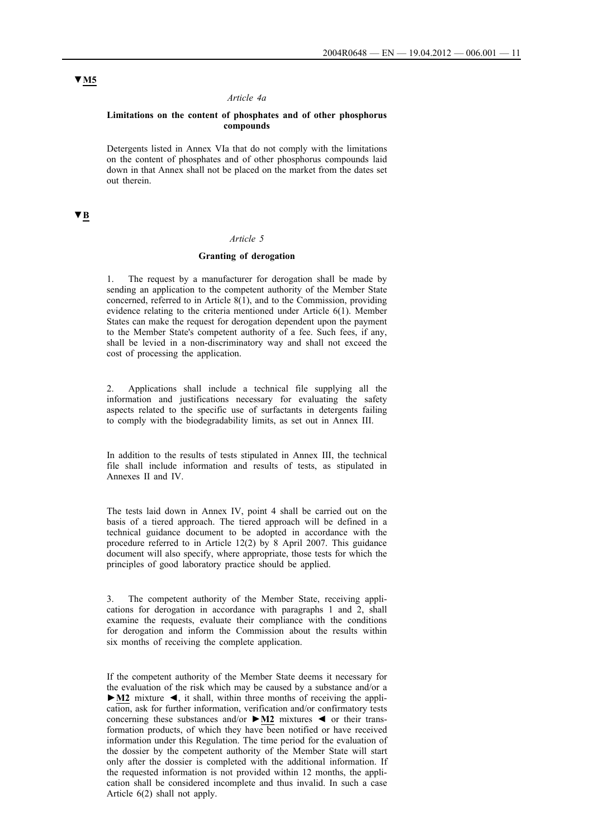### *Article 4a*

### **Limitations on the content of phosphates and of other phosphorus compounds**

Detergents listed in Annex VIa that do not comply with the limitations on the content of phosphates and of other phosphorus compounds laid down in that Annex shall not be placed on the market from the dates set out therein.

# **▼B**

## *Article 5*

### **Granting of derogation**

The request by a manufacturer for derogation shall be made by sending an application to the competent authority of the Member State concerned, referred to in Article  $8(1)$ , and to the Commission, providing evidence relating to the criteria mentioned under Article 6(1). Member States can make the request for derogation dependent upon the payment to the Member State's competent authority of a fee. Such fees, if any, shall be levied in a non-discriminatory way and shall not exceed the cost of processing the application.

2. Applications shall include a technical file supplying all the information and justifications necessary for evaluating the safety aspects related to the specific use of surfactants in detergents failing to comply with the biodegradability limits, as set out in Annex III.

In addition to the results of tests stipulated in Annex III, the technical file shall include information and results of tests, as stipulated in Annexes II and IV.

The tests laid down in Annex IV, point 4 shall be carried out on the basis of a tiered approach. The tiered approach will be defined in a technical guidance document to be adopted in accordance with the procedure referred to in Article 12(2) by 8 April 2007. This guidance document will also specify, where appropriate, those tests for which the principles of good laboratory practice should be applied.

3. The competent authority of the Member State, receiving applications for derogation in accordance with paragraphs 1 and 2, shall examine the requests, evaluate their compliance with the conditions for derogation and inform the Commission about the results within six months of receiving the complete application.

If the competent authority of the Member State deems it necessary for the evaluation of the risk which may be caused by a substance and/or a **►M2** mixture ◄, it shall, within three months of receiving the application, ask for further information, verification and/or confirmatory tests concerning these substances and/or **►M2** mixtures ◄ or their transformation products, of which they have been notified or have received information under this Regulation. The time period for the evaluation of the dossier by the competent authority of the Member State will start only after the dossier is completed with the additional information. If the requested information is not provided within 12 months, the application shall be considered incomplete and thus invalid. In such a case Article 6(2) shall not apply.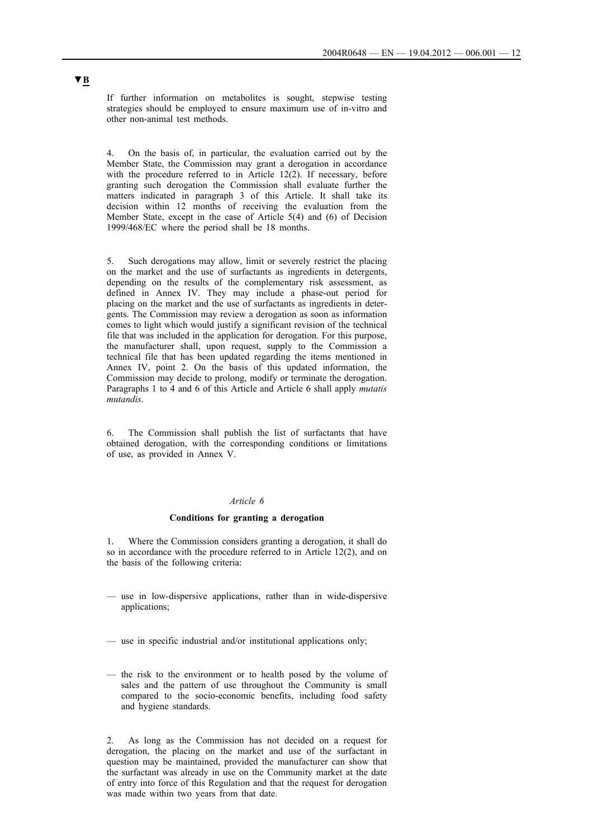If further information on metabolites is sought, stepwise testing strategies should be employed to ensure maximum use of in-vitro and other non-animal test methods.

4. On the basis of, in particular, the evaluation carried out by the Member State, the Commission may grant a derogation in accordance with the procedure referred to in Article 12(2). If necessary, before granting such derogation the Commission shall evaluate further the matters indicated in paragraph 3 of this Article. It shall take its decision within 12 months of receiving the evaluation from the Member State, except in the case of Article 5(4) and (6) of Decision 1999/468/EC where the period shall be 18 months.

5. Such derogations may allow, limit or severely restrict the placing on the market and the use of surfactants as ingredients in detergents, depending on the results of the complementary risk assessment, as defined in Annex IV. They may include a phase-out period for placing on the market and the use of surfactants as ingredients in detergents. The Commission may review a derogation as soon as information comes to light which would justify a significant revision of the technical file that was included in the application for derogation. For this purpose, the manufacturer shall, upon request, supply to the Commission a technical file that has been updated regarding the items mentioned in Annex IV, point 2. On the basis of this updated information, the Commission may decide to prolong, modify or terminate the derogation. Paragraphs 1 to 4 and 6 of this Article and Article 6 shall apply *mutatis mutandis*.

6. The Commission shall publish the list of surfactants that have obtained derogation, with the corresponding conditions or limitations of use, as provided in Annex V.

### *Article 6*

### **Conditions for granting a derogation**

1. Where the Commission considers granting a derogation, it shall do so in accordance with the procedure referred to in Article 12(2), and on the basis of the following criteria:

- use in low-dispersive applications, rather than in wide-dispersive applications;
- use in specific industrial and/or institutional applications only;
- the risk to the environment or to health posed by the volume of sales and the pattern of use throughout the Community is small compared to the socio-economic benefits, including food safety and hygiene standards.

2. As long as the Commission has not decided on a request for derogation, the placing on the market and use of the surfactant in question may be maintained, provided the manufacturer can show that the surfactant was already in use on the Community market at the date of entry into force of this Regulation and that the request for derogation was made within two years from that date.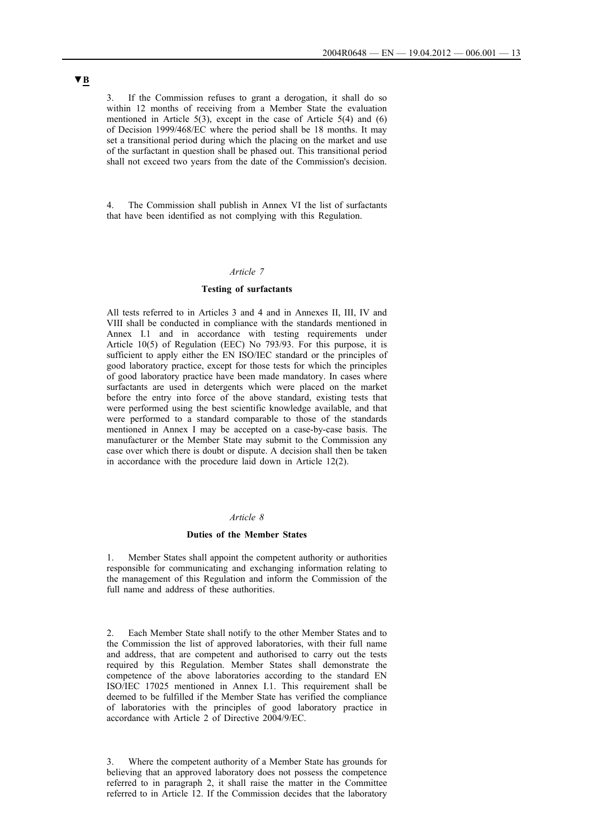3. If the Commission refuses to grant a derogation, it shall do so within 12 months of receiving from a Member State the evaluation mentioned in Article 5(3), except in the case of Article 5(4) and (6) of Decision 1999/468/EC where the period shall be 18 months. It may set a transitional period during which the placing on the market and use of the surfactant in question shall be phased out. This transitional period shall not exceed two years from the date of the Commission's decision.

4. The Commission shall publish in Annex VI the list of surfactants that have been identified as not complying with this Regulation.

### *Article 7*

## **Testing of surfactants**

All tests referred to in Articles 3 and 4 and in Annexes II, III, IV and VIII shall be conducted in compliance with the standards mentioned in Annex I.1 and in accordance with testing requirements under Article 10(5) of Regulation (EEC) No 793/93. For this purpose, it is sufficient to apply either the EN ISO/IEC standard or the principles of good laboratory practice, except for those tests for which the principles of good laboratory practice have been made mandatory. In cases where surfactants are used in detergents which were placed on the market before the entry into force of the above standard, existing tests that were performed using the best scientific knowledge available, and that were performed to a standard comparable to those of the standards mentioned in Annex I may be accepted on a case-by-case basis. The manufacturer or the Member State may submit to the Commission any case over which there is doubt or dispute. A decision shall then be taken in accordance with the procedure laid down in Article 12(2).

## *Article 8*

### **Duties of the Member States**

1. Member States shall appoint the competent authority or authorities responsible for communicating and exchanging information relating to the management of this Regulation and inform the Commission of the full name and address of these authorities.

2. Each Member State shall notify to the other Member States and to the Commission the list of approved laboratories, with their full name and address, that are competent and authorised to carry out the tests required by this Regulation. Member States shall demonstrate the competence of the above laboratories according to the standard EN ISO/IEC 17025 mentioned in Annex I.1. This requirement shall be deemed to be fulfilled if the Member State has verified the compliance of laboratories with the principles of good laboratory practice in accordance with Article 2 of Directive 2004/9/EC.

3. Where the competent authority of a Member State has grounds for believing that an approved laboratory does not possess the competence referred to in paragraph 2, it shall raise the matter in the Committee referred to in Article 12. If the Commission decides that the laboratory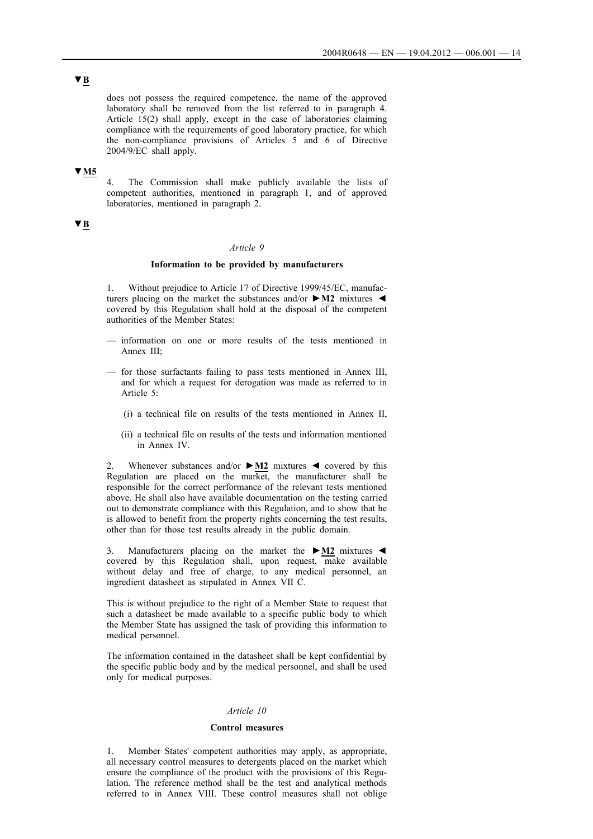# **▼B**

does not possess the required competence, the name of the approved laboratory shall be removed from the list referred to in paragraph 4. Article 15(2) shall apply, except in the case of laboratories claiming compliance with the requirements of good laboratory practice, for which the non-compliance provisions of Articles 5 and 6 of Directive 2004/9/EC shall apply.

# **▼M5**

The Commission shall make publicly available the lists of competent authorities, mentioned in paragraph 1, and of approved laboratories, mentioned in paragraph 2.

# **▼B**

### *Article 9*

### **Information to be provided by manufacturers**

1. Without prejudice to Article 17 of Directive 1999/45/EC, manufacturers placing on the market the substances and/or **►M2** mixtures ◄ covered by this Regulation shall hold at the disposal  $\overline{of}$  the competent authorities of the Member States:

- information on one or more results of the tests mentioned in Annex III;
- for those surfactants failing to pass tests mentioned in Annex III, and for which a request for derogation was made as referred to in Article 5:
	- (i) a technical file on results of the tests mentioned in Annex II,
	- (ii) a technical file on results of the tests and information mentioned in Annex IV.

2. Whenever substances and/or **►M2** mixtures ◄ covered by this Regulation are placed on the market, the manufacturer shall be responsible for the correct performance of the relevant tests mentioned above. He shall also have available documentation on the testing carried out to demonstrate compliance with this Regulation, and to show that he is allowed to benefit from the property rights concerning the test results, other than for those test results already in the public domain.

3. Manufacturers placing on the market the **►M2** mixtures ◄ covered by this Regulation shall, upon request, make available without delay and free of charge, to any medical personnel, an ingredient datasheet as stipulated in Annex VII C.

This is without prejudice to the right of a Member State to request that such a datasheet be made available to a specific public body to which the Member State has assigned the task of providing this information to medical personnel.

The information contained in the datasheet shall be kept confidential by the specific public body and by the medical personnel, and shall be used only for medical purposes.

#### *Article 10*

### **Control measures**

1. Member States' competent authorities may apply, as appropriate, all necessary control measures to detergents placed on the market which ensure the compliance of the product with the provisions of this Regulation. The reference method shall be the test and analytical methods referred to in Annex VIII. These control measures shall not oblige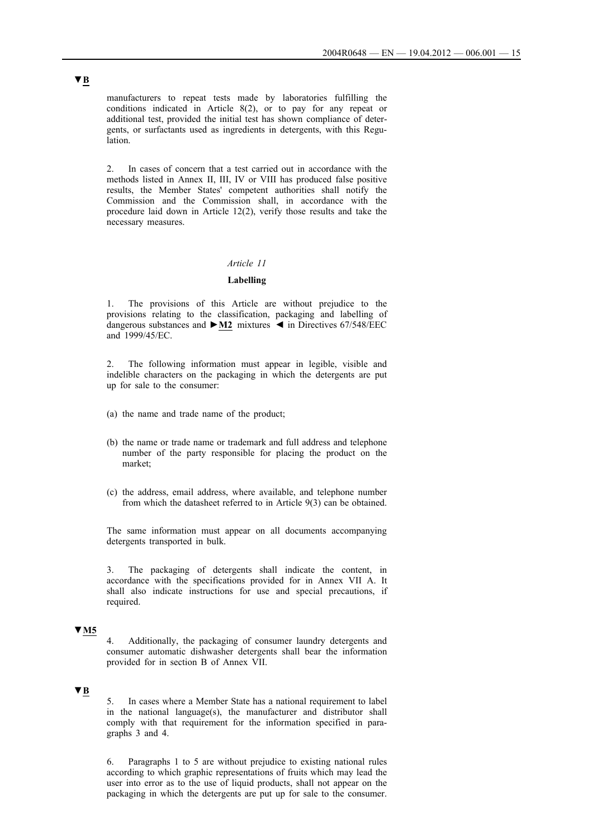manufacturers to repeat tests made by laboratories fulfilling the conditions indicated in Article 8(2), or to pay for any repeat or additional test, provided the initial test has shown compliance of detergents, or surfactants used as ingredients in detergents, with this Regulation.

2. In cases of concern that a test carried out in accordance with the methods listed in Annex II, III, IV or VIII has produced false positive results, the Member States' competent authorities shall notify the Commission and the Commission shall, in accordance with the procedure laid down in Article 12(2), verify those results and take the necessary measures.

## *Article 11*

## **Labelling**

1. The provisions of this Article are without prejudice to the provisions relating to the classification, packaging and labelling of dangerous substances and **►M2** mixtures ◄ in Directives 67/548/EEC and 1999/45/EC.

2. The following information must appear in legible, visible and indelible characters on the packaging in which the detergents are put up for sale to the consumer:

- (a) the name and trade name of the product;
- (b) the name or trade name or trademark and full address and telephone number of the party responsible for placing the product on the market;
- (c) the address, email address, where available, and telephone number from which the datasheet referred to in Article 9(3) can be obtained.

The same information must appear on all documents accompanying detergents transported in bulk.

3. The packaging of detergents shall indicate the content, in accordance with the specifications provided for in Annex VII A. It shall also indicate instructions for use and special precautions, if required.

# **▼M5**

4. Additionally, the packaging of consumer laundry detergents and consumer automatic dishwasher detergents shall bear the information provided for in section B of Annex VII.

## **▼B**

5. In cases where a Member State has a national requirement to label in the national language(s), the manufacturer and distributor shall comply with that requirement for the information specified in paragraphs 3 and 4.

6. Paragraphs 1 to 5 are without prejudice to existing national rules according to which graphic representations of fruits which may lead the user into error as to the use of liquid products, shall not appear on the packaging in which the detergents are put up for sale to the consumer.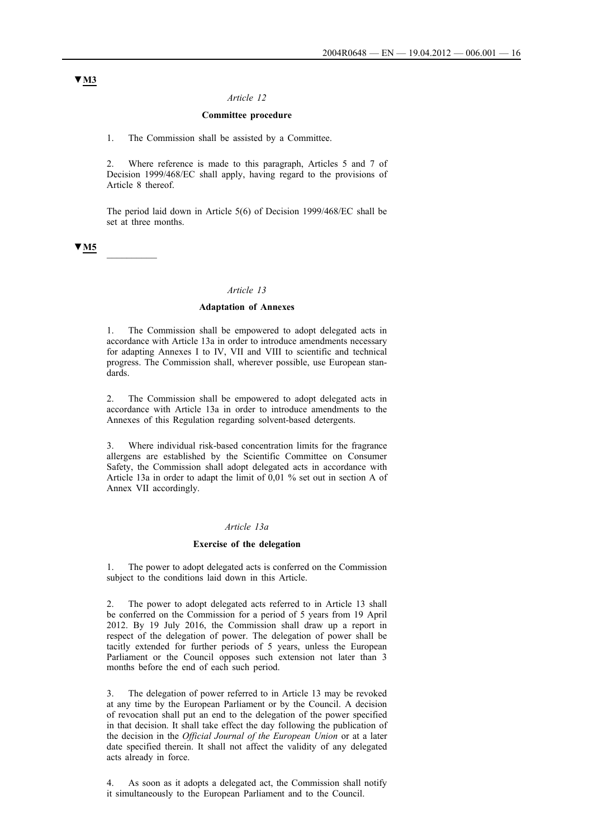### *Article 12*

### **Committee procedure**

1. The Commission shall be assisted by a Committee.

2. Where reference is made to this paragraph, Articles 5 and 7 of Decision 1999/468/EC shall apply, having regard to the provisions of Article 8 thereof.

The period laid down in Article 5(6) of Decision 1999/468/EC shall be set at three months.

# **▼M5** \_\_\_\_\_\_\_\_\_\_

#### *Article 13*

### **Adaptation of Annexes**

1. The Commission shall be empowered to adopt delegated acts in accordance with Article 13a in order to introduce amendments necessary for adapting Annexes I to IV, VII and VIII to scientific and technical progress. The Commission shall, wherever possible, use European standards.

2. The Commission shall be empowered to adopt delegated acts in accordance with Article 13a in order to introduce amendments to the Annexes of this Regulation regarding solvent-based detergents.

3. Where individual risk-based concentration limits for the fragrance allergens are established by the Scientific Committee on Consumer Safety, the Commission shall adopt delegated acts in accordance with Article 13a in order to adapt the limit of 0,01 % set out in section A of Annex VII accordingly.

### *Article 13a*

#### **Exercise of the delegation**

1. The power to adopt delegated acts is conferred on the Commission subject to the conditions laid down in this Article.

2. The power to adopt delegated acts referred to in Article 13 shall be conferred on the Commission for a period of 5 years from 19 April 2012. By 19 July 2016, the Commission shall draw up a report in respect of the delegation of power. The delegation of power shall be tacitly extended for further periods of 5 years, unless the European Parliament or the Council opposes such extension not later than 3 months before the end of each such period.

3. The delegation of power referred to in Article 13 may be revoked at any time by the European Parliament or by the Council. A decision of revocation shall put an end to the delegation of the power specified in that decision. It shall take effect the day following the publication of the decision in the *Official Journal of the European Union* or at a later date specified therein. It shall not affect the validity of any delegated acts already in force.

4. As soon as it adopts a delegated act, the Commission shall notify it simultaneously to the European Parliament and to the Council.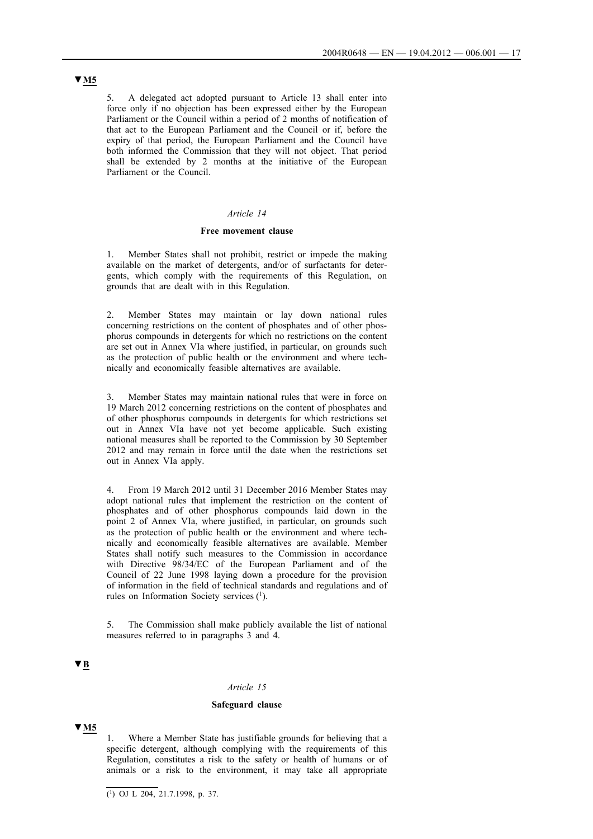5. A delegated act adopted pursuant to Article 13 shall enter into force only if no objection has been expressed either by the European Parliament or the Council within a period of 2 months of notification of that act to the European Parliament and the Council or if, before the expiry of that period, the European Parliament and the Council have both informed the Commission that they will not object. That period shall be extended by 2 months at the initiative of the European Parliament or the Council.

## *Article 14*

#### **Free movement clause**

1. Member States shall not prohibit, restrict or impede the making available on the market of detergents, and/or of surfactants for detergents, which comply with the requirements of this Regulation, on grounds that are dealt with in this Regulation.

2. Member States may maintain or lay down national rules concerning restrictions on the content of phosphates and of other phosphorus compounds in detergents for which no restrictions on the content are set out in Annex VIa where justified, in particular, on grounds such as the protection of public health or the environment and where technically and economically feasible alternatives are available.

3. Member States may maintain national rules that were in force on 19 March 2012 concerning restrictions on the content of phosphates and of other phosphorus compounds in detergents for which restrictions set out in Annex VIa have not yet become applicable. Such existing national measures shall be reported to the Commission by 30 September 2012 and may remain in force until the date when the restrictions set out in Annex VIa apply.

4. From 19 March 2012 until 31 December 2016 Member States may adopt national rules that implement the restriction on the content of phosphates and of other phosphorus compounds laid down in the point 2 of Annex VIa, where justified, in particular, on grounds such as the protection of public health or the environment and where technically and economically feasible alternatives are available. Member States shall notify such measures to the Commission in accordance with Directive 98/34/EC of the European Parliament and of the Council of 22 June 1998 laying down a procedure for the provision of information in the field of technical standards and regulations and of rules on Information Society services (1).

5. The Commission shall make publicly available the list of national measures referred to in paragraphs 3 and 4.

## **▼B**

## *Article 15*

### **Safeguard clause**

## **▼M5**

1. Where a Member State has justifiable grounds for believing that a specific detergent, although complying with the requirements of this Regulation, constitutes a risk to the safety or health of humans or of animals or a risk to the environment, it may take all appropriate

 $(1)$  OJ L 204, 21.7.1998, p. 37.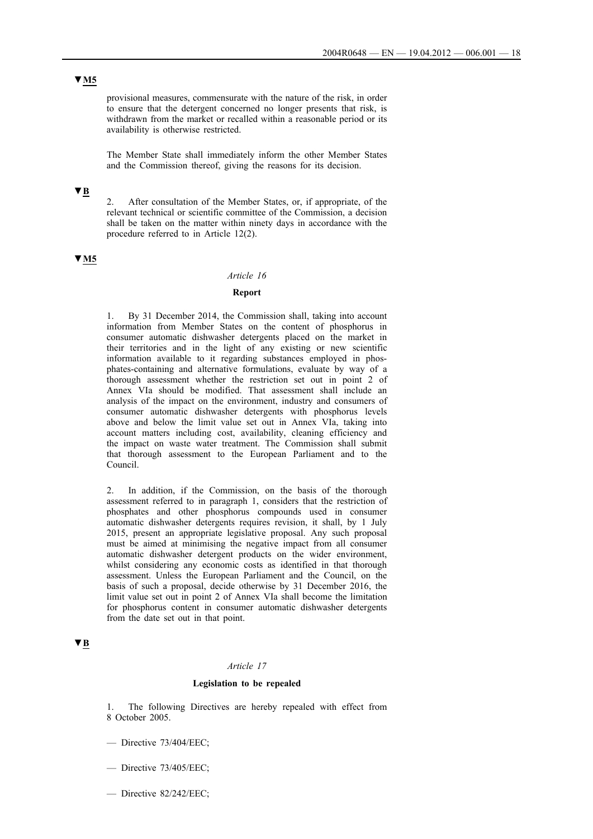# **▼M5**

provisional measures, commensurate with the nature of the risk, in order to ensure that the detergent concerned no longer presents that risk, is withdrawn from the market or recalled within a reasonable period or its availability is otherwise restricted.

The Member State shall immediately inform the other Member States and the Commission thereof, giving the reasons for its decision.

# **▼B**

2. After consultation of the Member States, or, if appropriate, of the relevant technical or scientific committee of the Commission, a decision shall be taken on the matter within ninety days in accordance with the procedure referred to in Article 12(2).

## **▼M5**

#### *Article 16*

## **Report**

1. By 31 December 2014, the Commission shall, taking into account information from Member States on the content of phosphorus in consumer automatic dishwasher detergents placed on the market in their territories and in the light of any existing or new scientific information available to it regarding substances employed in phosphates-containing and alternative formulations, evaluate by way of a thorough assessment whether the restriction set out in point 2 of Annex VIa should be modified. That assessment shall include an analysis of the impact on the environment, industry and consumers of consumer automatic dishwasher detergents with phosphorus levels above and below the limit value set out in Annex VIa, taking into account matters including cost, availability, cleaning efficiency and the impact on waste water treatment. The Commission shall submit that thorough assessment to the European Parliament and to the Council.

2. In addition, if the Commission, on the basis of the thorough assessment referred to in paragraph 1, considers that the restriction of phosphates and other phosphorus compounds used in consumer automatic dishwasher detergents requires revision, it shall, by 1 July 2015, present an appropriate legislative proposal. Any such proposal must be aimed at minimising the negative impact from all consumer automatic dishwasher detergent products on the wider environment, whilst considering any economic costs as identified in that thorough assessment. Unless the European Parliament and the Council, on the basis of such a proposal, decide otherwise by 31 December 2016, the limit value set out in point 2 of Annex VIa shall become the limitation for phosphorus content in consumer automatic dishwasher detergents from the date set out in that point.

## **▼B**

#### *Article 17*

### **Legislation to be repealed**

1. The following Directives are hereby repealed with effect from 8 October 2005.

- Directive 73/404/EEC;
- Directive 73/405/EEC;
- Directive 82/242/EEC;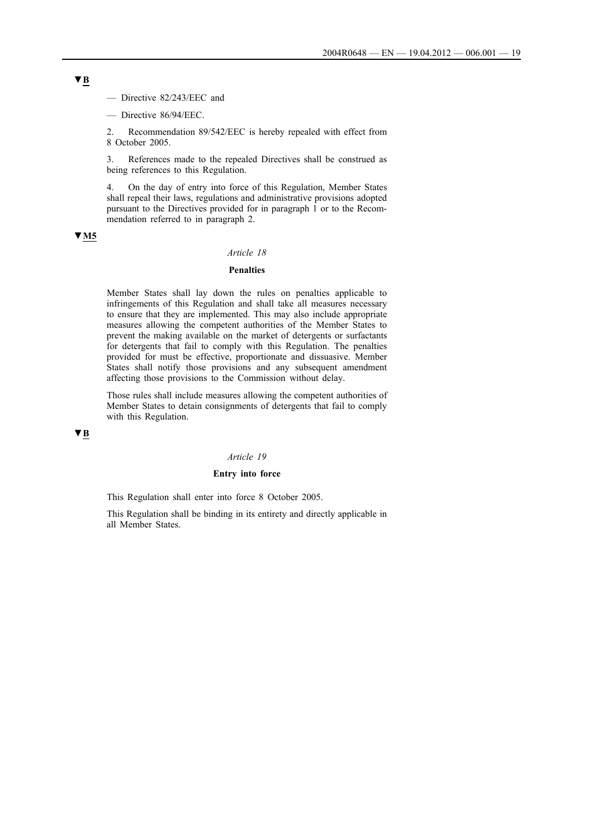— Directive 82/243/EEC and

— Directive 86/94/EEC.

2. Recommendation 89/542/EEC is hereby repealed with effect from 8 October 2005.

3. References made to the repealed Directives shall be construed as being references to this Regulation.

4. On the day of entry into force of this Regulation, Member States shall repeal their laws, regulations and administrative provisions adopted pursuant to the Directives provided for in paragraph 1 or to the Recommendation referred to in paragraph 2.

# **▼M5**

## *Article 18*

## **Penalties**

Member States shall lay down the rules on penalties applicable to infringements of this Regulation and shall take all measures necessary to ensure that they are implemented. This may also include appropriate measures allowing the competent authorities of the Member States to prevent the making available on the market of detergents or surfactants for detergents that fail to comply with this Regulation. The penalties provided for must be effective, proportionate and dissuasive. Member States shall notify those provisions and any subsequent amendment affecting those provisions to the Commission without delay.

Those rules shall include measures allowing the competent authorities of Member States to detain consignments of detergents that fail to comply with this Regulation.

## **▼B**

### *Article 19*

## **Entry into force**

This Regulation shall enter into force 8 October 2005.

This Regulation shall be binding in its entirety and directly applicable in all Member States.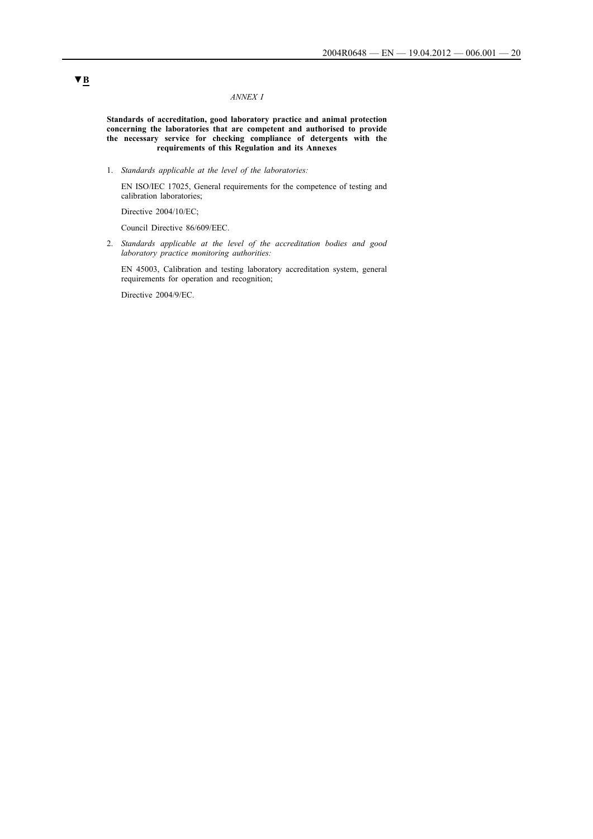### *ANNEX I*

**Standards of accreditation, good laboratory practice and animal protection concerning the laboratories that are competent and authorised to provide the necessary service for checking compliance of detergents with the requirements of this Regulation and its Annexes**

1. *Standards applicable at the level of the laboratories:*

EN ISO/IEC 17025, General requirements for the competence of testing and calibration laboratories;

Directive 2004/10/EC;

Council Directive 86/609/EEC.

2. *Standards applicable at the level of the accreditation bodies and good laboratory practice monitoring authorities:*

EN 45003, Calibration and testing laboratory accreditation system, general requirements for operation and recognition;

Directive 2004/9/EC.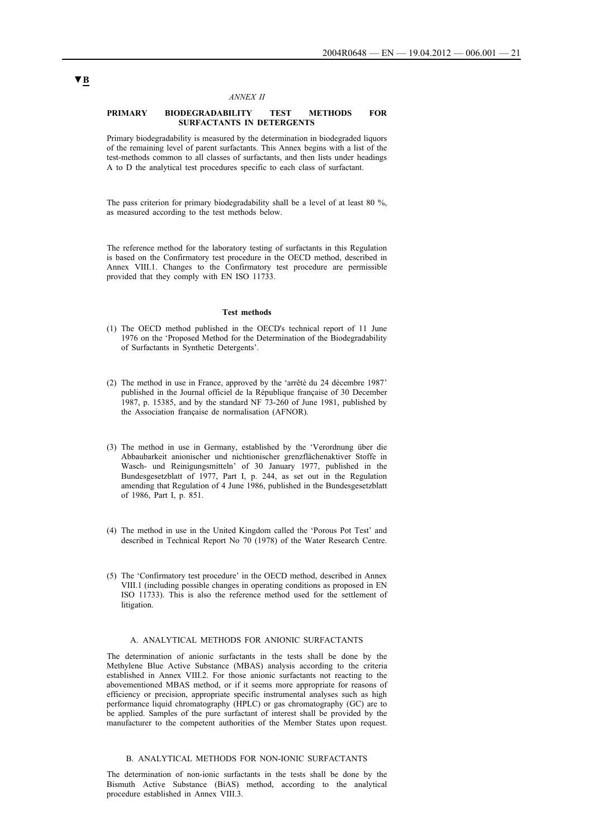### *ANNEX II*

### **PRIMARY BIODEGRADABILITY TEST METHODS FOR SURFACTANTS IN DETERGENTS**

Primary biodegradability is measured by the determination in biodegraded liquors of the remaining level of parent surfactants. This Annex begins with a list of the test-methods common to all classes of surfactants, and then lists under headings A to D the analytical test procedures specific to each class of surfactant.

The pass criterion for primary biodegradability shall be a level of at least 80 %, as measured according to the test methods below.

The reference method for the laboratory testing of surfactants in this Regulation is based on the Confirmatory test procedure in the OECD method, described in Annex VIII.1. Changes to the Confirmatory test procedure are permissible provided that they comply with EN ISO 11733.

#### **Test methods**

- (1) The OECD method published in the OECD's technical report of 11 June 1976 on the 'Proposed Method for the Determination of the Biodegradability of Surfactants in Synthetic Detergents'.
- (2) The method in use in France, approved by the 'arrêté du 24 décembre 1987' published in the Journal officiel de la République française of 30 December 1987, p. 15385, and by the standard NF 73-260 of June 1981, published by the Association française de normalisation (AFNOR).
- (3) The method in use in Germany, established by the 'Verordnung über die Abbaubarkeit anionischer und nichtionischer grenzflächenaktiver Stoffe in Wasch- und Reinigungsmitteln' of 30 January 1977, published in the Bundesgesetzblatt of 1977, Part I, p. 244, as set out in the Regulation amending that Regulation of 4 June 1986, published in the Bundesgesetzblatt of 1986, Part I, p. 851.
- (4) The method in use in the United Kingdom called the 'Porous Pot Test' and described in Technical Report No 70 (1978) of the Water Research Centre.
- (5) The 'Confirmatory test procedure' in the OECD method, described in Annex VIII.1 (including possible changes in operating conditions as proposed in EN ISO 11733). This is also the reference method used for the settlement of litigation.

### A. ANALYTICAL METHODS FOR ANIONIC SURFACTANTS

The determination of anionic surfactants in the tests shall be done by the Methylene Blue Active Substance (MBAS) analysis according to the criteria established in Annex VIII.2. For those anionic surfactants not reacting to the abovementioned MBAS method, or if it seems more appropriate for reasons of efficiency or precision, appropriate specific instrumental analyses such as high performance liquid chromatography (HPLC) or gas chromatography (GC) are to be applied. Samples of the pure surfactant of interest shall be provided by the manufacturer to the competent authorities of the Member States upon request.

### B. ANALYTICAL METHODS FOR NON-IONIC SURFACTANTS

The determination of non-ionic surfactants in the tests shall be done by the Bismuth Active Substance (BiAS) method, according to the analytical procedure established in Annex VIII.3.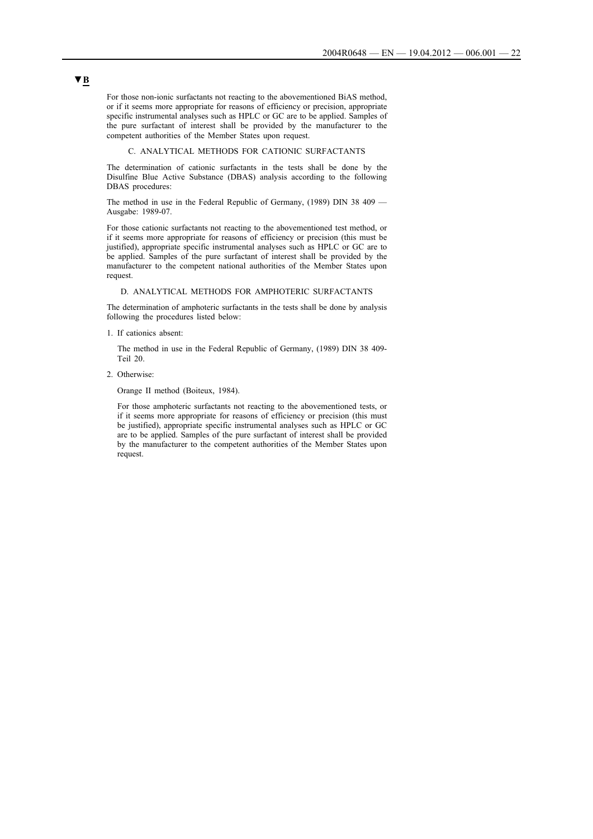For those non-ionic surfactants not reacting to the abovementioned BiAS method, or if it seems more appropriate for reasons of efficiency or precision, appropriate specific instrumental analyses such as HPLC or GC are to be applied. Samples of the pure surfactant of interest shall be provided by the manufacturer to the competent authorities of the Member States upon request.

#### C. ANALYTICAL METHODS FOR CATIONIC SURFACTANTS

The determination of cationic surfactants in the tests shall be done by the Disulfine Blue Active Substance (DBAS) analysis according to the following DBAS procedures:

The method in use in the Federal Republic of Germany, (1989) DIN 38 409 — Ausgabe: 1989-07.

For those cationic surfactants not reacting to the abovementioned test method, or if it seems more appropriate for reasons of efficiency or precision (this must be justified), appropriate specific instrumental analyses such as HPLC or GC are to be applied. Samples of the pure surfactant of interest shall be provided by the manufacturer to the competent national authorities of the Member States upon request.

### D. ANALYTICAL METHODS FOR AMPHOTERIC SURFACTANTS

The determination of amphoteric surfactants in the tests shall be done by analysis following the procedures listed below:

1. If cationics absent:

The method in use in the Federal Republic of Germany, (1989) DIN 38 409- Teil 20.

2. Otherwise:

Orange II method (Boiteux, 1984).

For those amphoteric surfactants not reacting to the abovementioned tests, or if it seems more appropriate for reasons of efficiency or precision (this must be justified), appropriate specific instrumental analyses such as HPLC or GC are to be applied. Samples of the pure surfactant of interest shall be provided by the manufacturer to the competent authorities of the Member States upon request.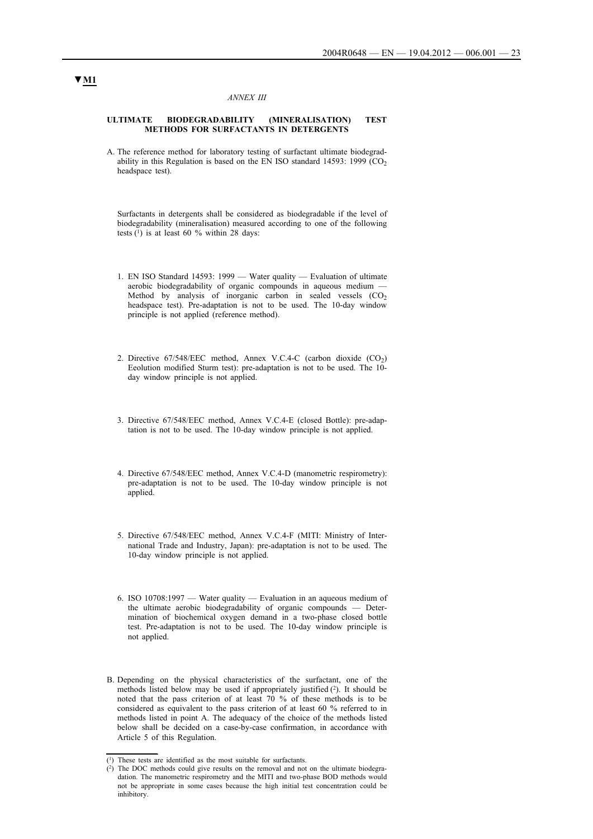#### *ANNEX III*

#### **ULTIMATE BIODEGRADABILITY (MINERALISATION) TEST METHODS FOR SURFACTANTS IN DETERGENTS**

A. The reference method for laboratory testing of surfactant ultimate biodegradability in this Regulation is based on the EN ISO standard 14593: 1999  $(CO<sub>2</sub>)$ headspace test).

Surfactants in detergents shall be considered as biodegradable if the level of biodegradability (mineralisation) measured according to one of the following tests  $(1)$  is at least 60 % within 28 days:

- 1. EN ISO Standard 14593: 1999 Water quality Evaluation of ultimate aerobic biodegradability of organic compounds in aqueous medium — Method by analysis of inorganic carbon in sealed vessels  $(CO<sub>2</sub>)$ headspace test). Pre-adaptation is not to be used. The 10-day window principle is not applied (reference method).
- 2. Directive  $67/548/EEC$  method, Annex V.C.4-C (carbon dioxide  $(CO<sub>2</sub>)$ ) Eeolution modified Sturm test): pre-adaptation is not to be used. The 10 day window principle is not applied.
- 3. Directive 67/548/EEC method, Annex V.C.4-E (closed Bottle): pre-adaptation is not to be used. The 10-day window principle is not applied.
- 4. Directive 67/548/EEC method, Annex V.C.4-D (manometric respirometry): pre-adaptation is not to be used. The 10-day window principle is not applied.
- 5. Directive 67/548/EEC method, Annex V.C.4-F (MITI: Ministry of International Trade and Industry, Japan): pre-adaptation is not to be used. The 10-day window principle is not applied.
- 6. ISO 10708:1997 Water quality Evaluation in an aqueous medium of the ultimate aerobic biodegradability of organic compounds — Determination of biochemical oxygen demand in a two-phase closed bottle test. Pre-adaptation is not to be used. The 10-day window principle is not applied.
- B. Depending on the physical characteristics of the surfactant, one of the methods listed below may be used if appropriately justified (2). It should be noted that the pass criterion of at least 70 % of these methods is to be considered as equivalent to the pass criterion of at least 60 % referred to in methods listed in point A. The adequacy of the choice of the methods listed below shall be decided on a case-by-case confirmation, in accordance with Article 5 of this Regulation.

<sup>(1)</sup> These tests are identified as the most suitable for surfactants.

 $(2)$  The DOC methods could give results on the removal and not on the ultimate biodegradation. The manometric respirometry and the MITI and two-phase BOD methods would not be appropriate in some cases because the high initial test concentration could be inhibitory.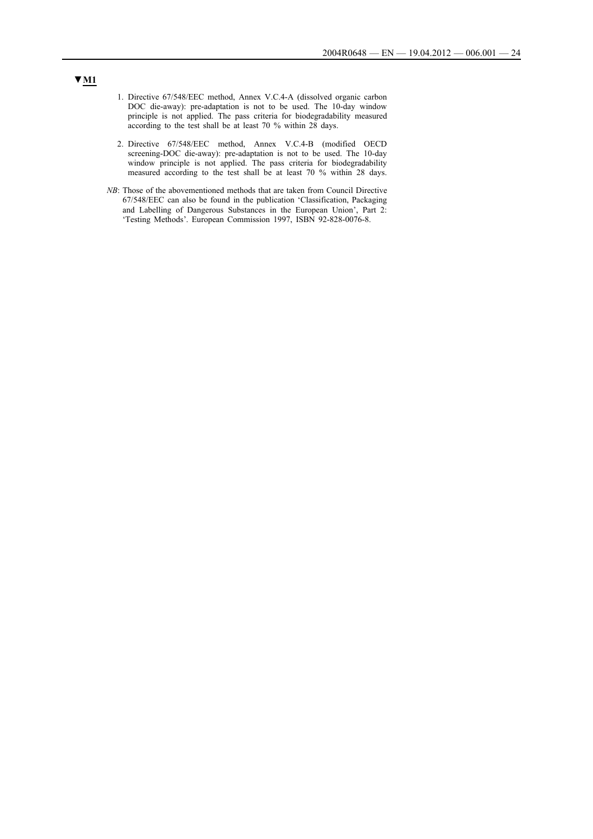- 1. Directive 67/548/EEC method, Annex V.C.4-A (dissolved organic carbon DOC die-away): pre-adaptation is not to be used. The 10-day window principle is not applied. The pass criteria for biodegradability measured according to the test shall be at least 70 % within 28 days.
- 2. Directive 67/548/EEC method, Annex V.C.4-B (modified OECD screening-DOC die-away): pre-adaptation is not to be used. The 10-day window principle is not applied. The pass criteria for biodegradability measured according to the test shall be at least 70 % within 28 days.
- *NB*: Those of the abovementioned methods that are taken from Council Directive 67/548/EEC can also be found in the publication 'Classification, Packaging and Labelling of Dangerous Substances in the European Union', Part 2: 'Testing Methods'. European Commission 1997, ISBN 92-828-0076-8.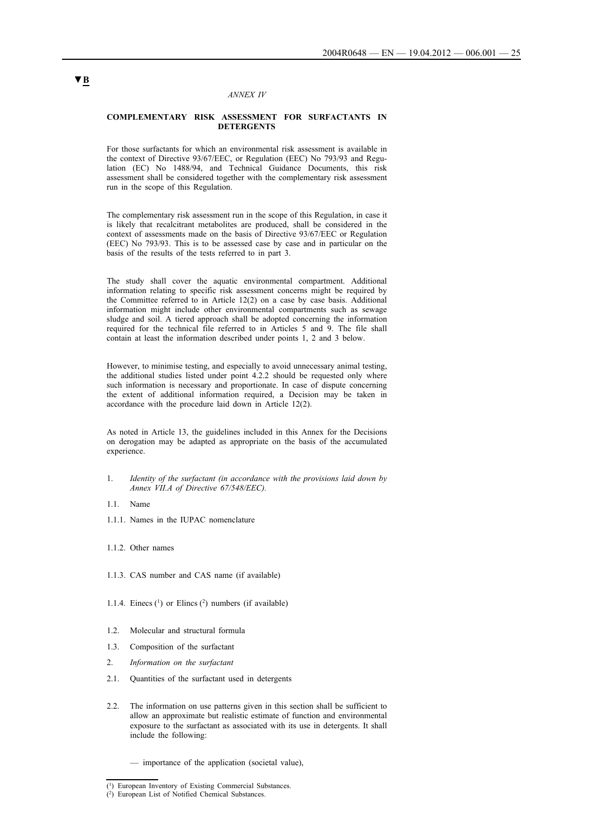### *ANNEX IV*

### **COMPLEMENTARY RISK ASSESSMENT FOR SURFACTANTS IN DETERGENTS**

For those surfactants for which an environmental risk assessment is available in the context of Directive 93/67/EEC, or Regulation (EEC) No 793/93 and Regulation (EC) No 1488/94, and Technical Guidance Documents, this risk assessment shall be considered together with the complementary risk assessment run in the scope of this Regulation.

The complementary risk assessment run in the scope of this Regulation, in case it is likely that recalcitrant metabolites are produced, shall be considered in the context of assessments made on the basis of Directive 93/67/EEC or Regulation (EEC) No 793/93. This is to be assessed case by case and in particular on the basis of the results of the tests referred to in part 3.

The study shall cover the aquatic environmental compartment. Additional information relating to specific risk assessment concerns might be required by the Committee referred to in Article 12(2) on a case by case basis. Additional information might include other environmental compartments such as sewage sludge and soil. A tiered approach shall be adopted concerning the information required for the technical file referred to in Articles 5 and 9. The file shall contain at least the information described under points 1, 2 and 3 below.

However, to minimise testing, and especially to avoid unnecessary animal testing, the additional studies listed under point 4.2.2 should be requested only where such information is necessary and proportionate. In case of dispute concerning the extent of additional information required, a Decision may be taken in accordance with the procedure laid down in Article 12(2).

As noted in Article 13, the guidelines included in this Annex for the Decisions on derogation may be adapted as appropriate on the basis of the accumulated experience

- 1. *Identity of the surfactant (in accordance with the provisions laid down by Annex VII.A of Directive 67/548/EEC).*
- 1.1. Name
- 1.1.1. Names in the IUPAC nomenclature
- 1.1.2. Other names
- 1.1.3. CAS number and CAS name (if available)
- 1.1.4. Einecs  $(1)$  or Elincs  $(2)$  numbers (if available)
- 1.2. Molecular and structural formula
- 1.3. Composition of the surfactant
- 2. *Information on the surfactant*
- 2.1. Quantities of the surfactant used in detergents
- 2.2. The information on use patterns given in this section shall be sufficient to allow an approximate but realistic estimate of function and environmental exposure to the surfactant as associated with its use in detergents. It shall include the following:
	- importance of the application (societal value),

<sup>(1)</sup> European Inventory of Existing Commercial Substances.

<sup>(2)</sup> European List of Notified Chemical Substances.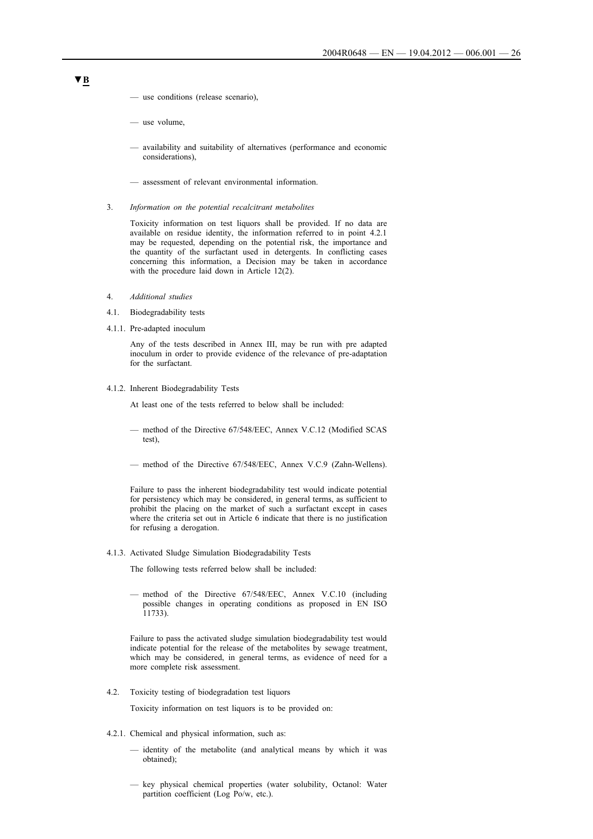- use conditions (release scenario),
- use volume,
- availability and suitability of alternatives (performance and economic considerations),
- assessment of relevant environmental information.
- 3. *Information on the potential recalcitrant metabolites*

Toxicity information on test liquors shall be provided. If no data are available on residue identity, the information referred to in point 4.2.1 may be requested, depending on the potential risk, the importance and the quantity of the surfactant used in detergents. In conflicting cases concerning this information, a Decision may be taken in accordance with the procedure laid down in Article 12(2).

- 4. *Additional studies*
- 4.1. Biodegradability tests
- 4.1.1. Pre-adapted inoculum

Any of the tests described in Annex III, may be run with pre adapted inoculum in order to provide evidence of the relevance of pre-adaptation for the surfactant.

4.1.2. Inherent Biodegradability Tests

At least one of the tests referred to below shall be included:

- method of the Directive 67/548/EEC, Annex V.C.12 (Modified SCAS test),
- method of the Directive 67/548/EEC, Annex V.C.9 (Zahn-Wellens).

Failure to pass the inherent biodegradability test would indicate potential for persistency which may be considered, in general terms, as sufficient to prohibit the placing on the market of such a surfactant except in cases where the criteria set out in Article 6 indicate that there is no justification for refusing a derogation.

4.1.3. Activated Sludge Simulation Biodegradability Tests

The following tests referred below shall be included:

— method of the Directive 67/548/EEC, Annex V.C.10 (including possible changes in operating conditions as proposed in EN ISO 11733).

Failure to pass the activated sludge simulation biodegradability test would indicate potential for the release of the metabolites by sewage treatment, which may be considered, in general terms, as evidence of need for a more complete risk assessment.

4.2. Toxicity testing of biodegradation test liquors

Toxicity information on test liquors is to be provided on:

- 4.2.1. Chemical and physical information, such as:
	- identity of the metabolite (and analytical means by which it was obtained);
	- key physical chemical properties (water solubility, Octanol: Water partition coefficient (Log Po/w, etc.).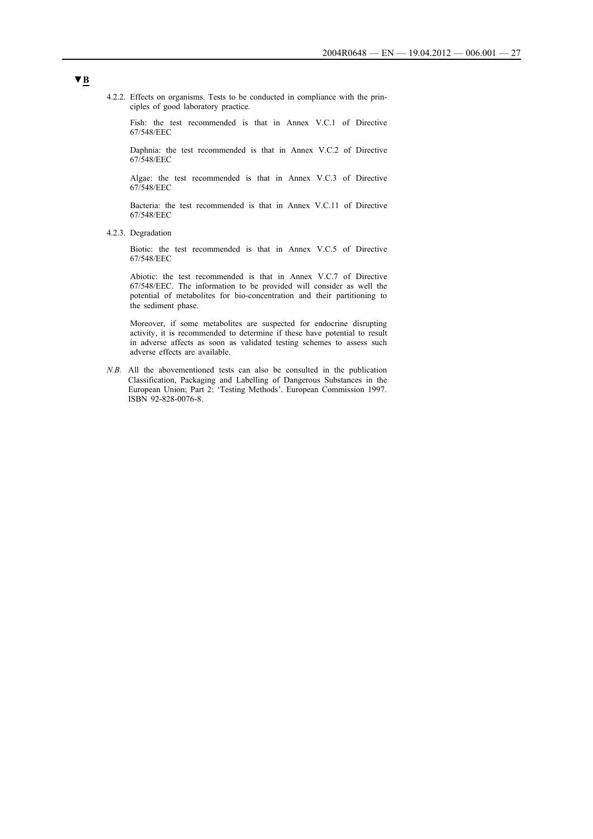4.2.2. Effects on organisms. Tests to be conducted in compliance with the principles of good laboratory practice.

Fish: the test recommended is that in Annex V.C.1 of Directive 67/548/EEC

Daphnia: the test recommended is that in Annex V.C.2 of Directive 67/548/EEC

Algae: the test recommended is that in Annex V.C.3 of Directive 67/548/EEC

Bacteria: the test recommended is that in Annex V.C.11 of Directive 67/548/EEC

4.2.3. Degradation

Biotic: the test recommended is that in Annex V.C.5 of Directive 67/548/EEC

Abiotic: the test recommended is that in Annex V.C.7 of Directive 67/548/EEC. The information to be provided will consider as well the potential of metabolites for bio-concentration and their partitioning to the sediment phase.

Moreover, if some metabolites are suspected for endocrine disrupting activity, it is recommended to determine if these have potential to result in adverse affects as soon as validated testing schemes to assess such adverse effects are available.

*N.B.* All the abovementioned tests can also be consulted in the publication Classification, Packaging and Labelling of Dangerous Substances in the European Union; Part 2: 'Testing Methods'. European Commission 1997. ISBN 92-828-0076-8.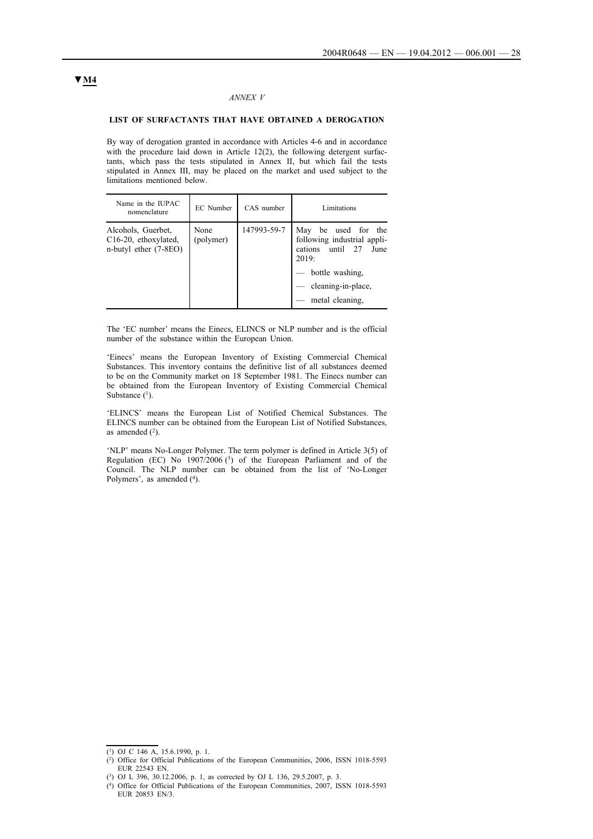### *ANNEX V*

### **LIST OF SURFACTANTS THAT HAVE OBTAINED A DEROGATION**

By way of derogation granted in accordance with Articles 4-6 and in accordance with the procedure laid down in Article 12(2), the following detergent surfactants, which pass the tests stipulated in Annex II, but which fail the tests stipulated in Annex III, may be placed on the market and used subject to the limitations mentioned below.

| Name in the IUPAC<br>nomenclature                                                | EC Number         | CAS number  | Limitations                                                                                                                                            |
|----------------------------------------------------------------------------------|-------------------|-------------|--------------------------------------------------------------------------------------------------------------------------------------------------------|
| Alcohols, Guerbet,<br>C <sub>16</sub> -20, ethoxylated,<br>n-butyl ether (7-8EO) | None<br>(polymer) | 147993-59-7 | be used for the<br>May<br>following industrial appli-<br>cations until 27<br>June<br>2019:<br>bottle washing.<br>cleaning-in-place,<br>metal cleaning, |

The 'EC number' means the Einecs, ELINCS or NLP number and is the official number of the substance within the European Union.

'Einecs' means the European Inventory of Existing Commercial Chemical Substances. This inventory contains the definitive list of all substances deemed to be on the Community market on 18 September 1981. The Einecs number can be obtained from the European Inventory of Existing Commercial Chemical Substance  $(1)$ .

'ELINCS' means the European List of Notified Chemical Substances. The ELINCS number can be obtained from the European List of Notified Substances, as amended  $(2)$ .

'NLP' means No-Longer Polymer. The term polymer is defined in Article 3(5) of Regulation (EC) No 1907/2006 (3) of the European Parliament and of the Council. The NLP number can be obtained from the list of 'No-Longer Polymers', as amended (4).

<sup>(1)</sup> OJ C 146 A, 15.6.1990, p. 1.

<sup>(2)</sup> Office for Official Publications of the European Communities, 2006, ISSN 1018-5593 EUR 22543 EN.

<sup>(3)</sup> OJ L 396, 30.12.2006, p. 1, as corrected by OJ L 136, 29.5.2007, p. 3.

<sup>(4)</sup> Office for Official Publications of the European Communities, 2007, ISSN 1018-5593 EUR 20853 EN/3.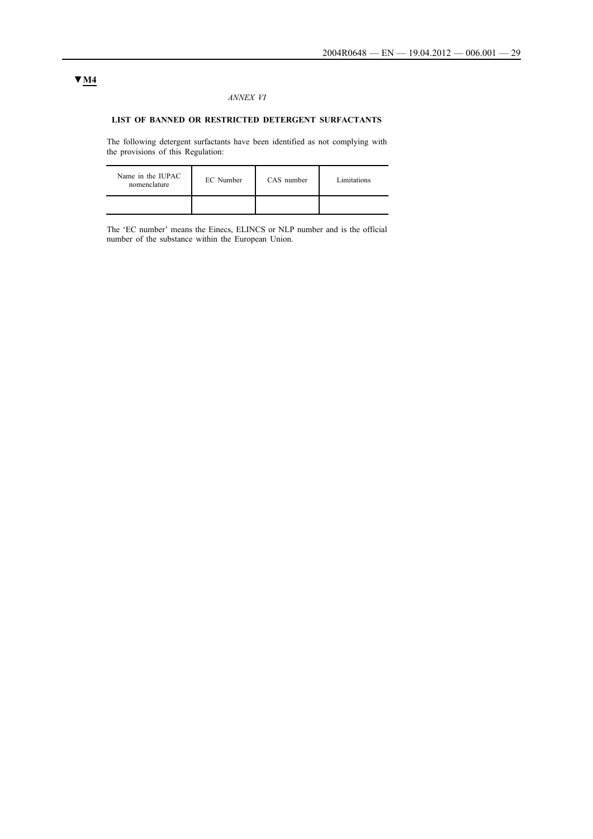### *ANNEX VI*

## **LIST OF BANNED OR RESTRICTED DETERGENT SURFACTANTS**

The following detergent surfactants have been identified as not complying with the provisions of this Regulation:

| Name in the IUPAC<br>nomenclature | EC Number | CAS number | Limitations |
|-----------------------------------|-----------|------------|-------------|
|                                   |           |            |             |

The 'EC number' means the Einecs, ELINCS or NLP number and is the official number of the substance within the European Union.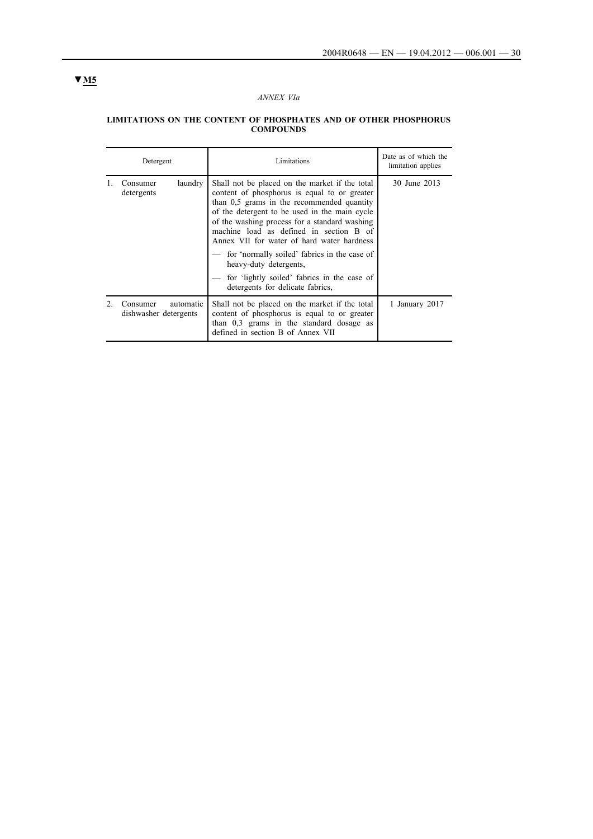## *ANNEX VIa*

#### **LIMITATIONS ON THE CONTENT OF PHOSPHATES AND OF OTHER PHOSPHORUS COMPOUNDS**

| Detergent                                      | Limitations                                                                                                                                                                                                                                                                                                                                                                                                                                                                                          | Date as of which the<br>limitation applies |
|------------------------------------------------|------------------------------------------------------------------------------------------------------------------------------------------------------------------------------------------------------------------------------------------------------------------------------------------------------------------------------------------------------------------------------------------------------------------------------------------------------------------------------------------------------|--------------------------------------------|
| laundry<br>Consumer<br>detergents              | Shall not be placed on the market if the total<br>content of phosphorus is equal to or greater<br>than 0.5 grams in the recommended quantity<br>of the detergent to be used in the main cycle<br>of the washing process for a standard washing<br>machine load as defined in section B of<br>Annex VII for water of hard water hardness<br>for 'normally soiled' fabrics in the case of<br>heavy-duty detergents.<br>for 'lightly soiled' fabrics in the case of<br>detergents for delicate fabrics, | 30 June 2013                               |
| automatic<br>Consumer<br>dishwasher detergents | Shall not be placed on the market if the total<br>content of phosphorus is equal to or greater<br>than $0.3$ grams in the standard dosage as<br>defined in section B of Annex VII                                                                                                                                                                                                                                                                                                                    | 1 January 2017                             |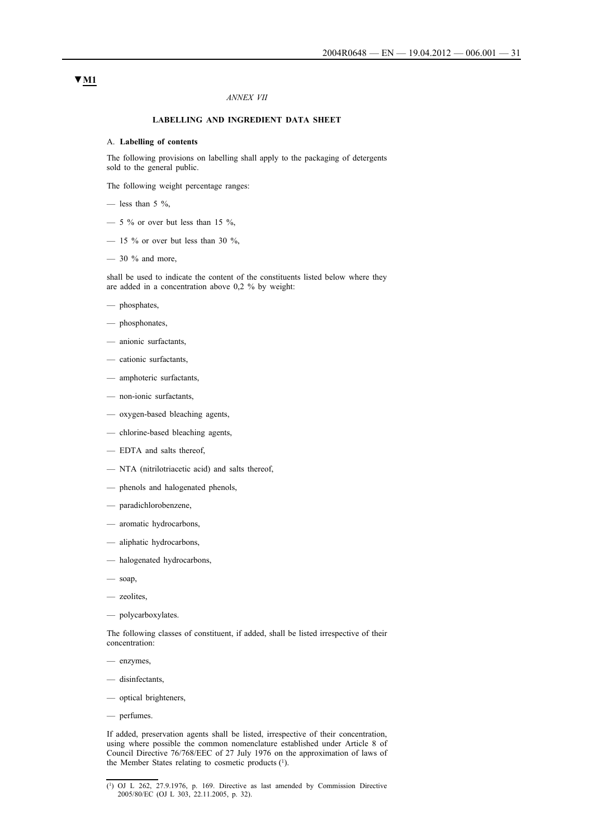### *ANNEX VII*

### **LABELLING AND INGREDIENT DATA SHEET**

#### A. **Labelling of contents**

The following provisions on labelling shall apply to the packaging of detergents sold to the general public.

The following weight percentage ranges:

- less than  $5\%$ ,
- $-$  5 % or over but less than 15 %,
- $-$  15 % or over but less than 30 %,
- $-30$  % and more,

shall be used to indicate the content of the constituents listed below where they are added in a concentration above 0,2 % by weight:

- phosphates,
- phosphonates,
- anionic surfactants,
- cationic surfactants,
- amphoteric surfactants,
- non-ionic surfactants,
- oxygen-based bleaching agents,
- chlorine-based bleaching agents,
- EDTA and salts thereof,
- NTA (nitrilotriacetic acid) and salts thereof,
- phenols and halogenated phenols,
- paradichlorobenzene,
- aromatic hydrocarbons,
- aliphatic hydrocarbons,
- halogenated hydrocarbons,
- $-$  soap,
- zeolites,
- polycarboxylates.

The following classes of constituent, if added, shall be listed irrespective of their concentration:

- enzymes,
- disinfectants,
- optical brighteners,
- perfumes.

If added, preservation agents shall be listed, irrespective of their concentration, using where possible the common nomenclature established under Article 8 of Council Directive 76/768/EEC of 27 July 1976 on the approximation of laws of the Member States relating to cosmetic products (1).

 $(1)$  OJ L 262, 27.9.1976, p. 169. Directive as last amended by Commission Directive 2005/80/EC (OJ L 303, 22.11.2005, p. 32).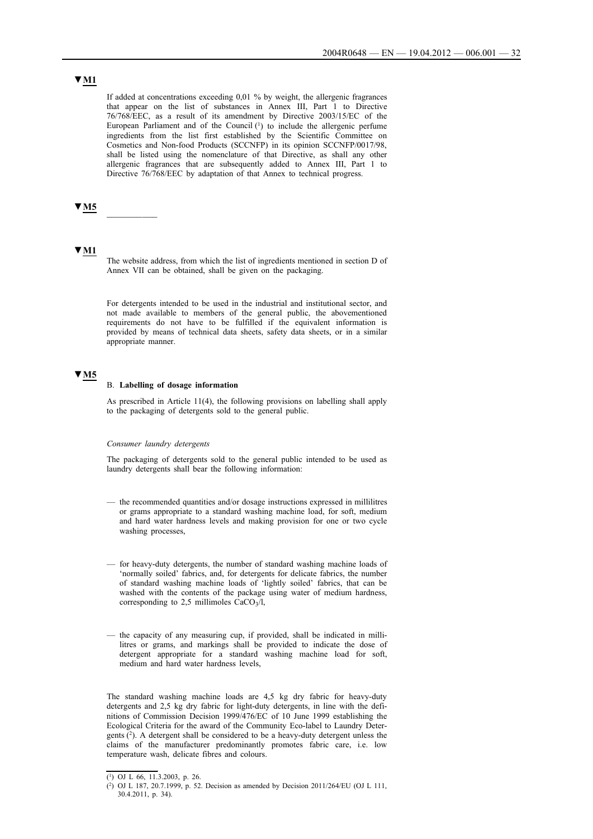# **▼M1**

If added at concentrations exceeding 0,01 % by weight, the allergenic fragrances that appear on the list of substances in Annex III, Part 1 to Directive 76/768/EEC, as a result of its amendment by Directive 2003/15/EC of the European Parliament and of the Council (1) to include the allergenic perfume ingredients from the list first established by the Scientific Committee on Cosmetics and Non-food Products (SCCNFP) in its opinion SCCNFP/0017/98, shall be listed using the nomenclature of that Directive, as shall any other allergenic fragrances that are subsequently added to Annex III, Part 1 to Directive 76/768/EEC by adaptation of that Annex to technical progress.

## **▼M5** \_\_\_\_\_\_\_\_\_\_

### **▼M1**

The website address, from which the list of ingredients mentioned in section D of Annex VII can be obtained, shall be given on the packaging.

For detergents intended to be used in the industrial and institutional sector, and not made available to members of the general public, the abovementioned requirements do not have to be fulfilled if the equivalent information is provided by means of technical data sheets, safety data sheets, or in a similar appropriate manner.

## **▼M5**

#### B. **Labelling of dosage information**

As prescribed in Article 11(4), the following provisions on labelling shall apply to the packaging of detergents sold to the general public.

#### *Consumer laundry detergents*

The packaging of detergents sold to the general public intended to be used as laundry detergents shall bear the following information:

- the recommended quantities and/or dosage instructions expressed in millilitres or grams appropriate to a standard washing machine load, for soft, medium and hard water hardness levels and making provision for one or two cycle washing processes,
- for heavy-duty detergents, the number of standard washing machine loads of 'normally soiled' fabrics, and, for detergents for delicate fabrics, the number of standard washing machine loads of 'lightly soiled' fabrics, that can be washed with the contents of the package using water of medium hardness, corresponding to 2,5 millimoles  $CaCO<sub>3</sub>/l$ ,
- the capacity of any measuring cup, if provided, shall be indicated in millilitres or grams, and markings shall be provided to indicate the dose of detergent appropriate for a standard washing machine load for soft, medium and hard water hardness levels,

The standard washing machine loads are 4,5 kg dry fabric for heavy-duty detergents and 2,5 kg dry fabric for light-duty detergents, in line with the definitions of Commission Decision 1999/476/EC of 10 June 1999 establishing the Ecological Criteria for the award of the Community Eco-label to Laundry Detergents (2). A detergent shall be considered to be a heavy-duty detergent unless the claims of the manufacturer predominantly promotes fabric care, i.e. low temperature wash, delicate fibres and colours.

<sup>(1)</sup> OJ L 66, 11.3.2003, p. 26.

<sup>(2)</sup> OJ L 187, 20.7.1999, p. 52. Decision as amended by Decision 2011/264/EU (OJ L 111, 30.4.2011, p. 34).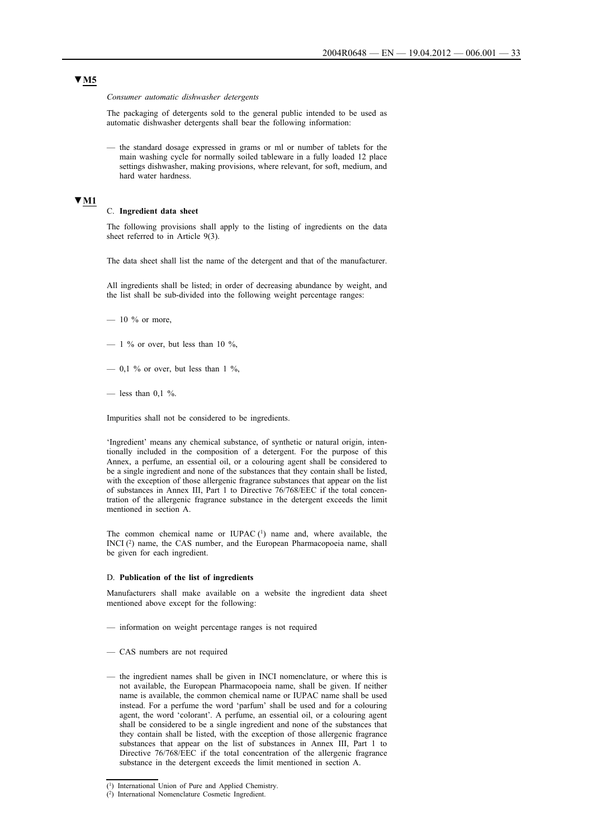*Consumer automatic dishwasher detergents*

The packaging of detergents sold to the general public intended to be used as automatic dishwasher detergents shall bear the following information:

— the standard dosage expressed in grams or ml or number of tablets for the main washing cycle for normally soiled tableware in a fully loaded 12 place settings dishwasher, making provisions, where relevant, for soft, medium, and hard water hardness.

## **▼M1**

#### C. **Ingredient data sheet**

The following provisions shall apply to the listing of ingredients on the data sheet referred to in Article 9(3).

The data sheet shall list the name of the detergent and that of the manufacturer.

All ingredients shall be listed; in order of decreasing abundance by weight, and the list shall be sub-divided into the following weight percentage ranges:

- $-10\%$  or more,
- $-$  1 % or over, but less than 10 %,
- $-$  0.1 % or over, but less than 1 %.
- less than  $0.1 \%$ .

Impurities shall not be considered to be ingredients.

'Ingredient' means any chemical substance, of synthetic or natural origin, intentionally included in the composition of a detergent. For the purpose of this Annex, a perfume, an essential oil, or a colouring agent shall be considered to be a single ingredient and none of the substances that they contain shall be listed, with the exception of those allergenic fragrance substances that appear on the list of substances in Annex III, Part 1 to Directive 76/768/EEC if the total concentration of the allergenic fragrance substance in the detergent exceeds the limit mentioned in section A.

The common chemical name or IUPAC $(1)$  name and, where available, the INCI (2) name, the CAS number, and the European Pharmacopoeia name, shall be given for each ingredient.

#### D. **Publication of the list of ingredients**

Manufacturers shall make available on a website the ingredient data sheet mentioned above except for the following:

- information on weight percentage ranges is not required
- CAS numbers are not required
- the ingredient names shall be given in INCI nomenclature, or where this is not available, the European Pharmacopoeia name, shall be given. If neither name is available, the common chemical name or IUPAC name shall be used instead. For a perfume the word 'parfum' shall be used and for a colouring agent, the word 'colorant'. A perfume, an essential oil, or a colouring agent shall be considered to be a single ingredient and none of the substances that they contain shall be listed, with the exception of those allergenic fragrance substances that appear on the list of substances in Annex III, Part 1 to Directive 76/768/EEC if the total concentration of the allergenic fragrance substance in the detergent exceeds the limit mentioned in section A.

<sup>(1)</sup> International Union of Pure and Applied Chemistry.

<sup>(2)</sup> International Nomenclature Cosmetic Ingredient.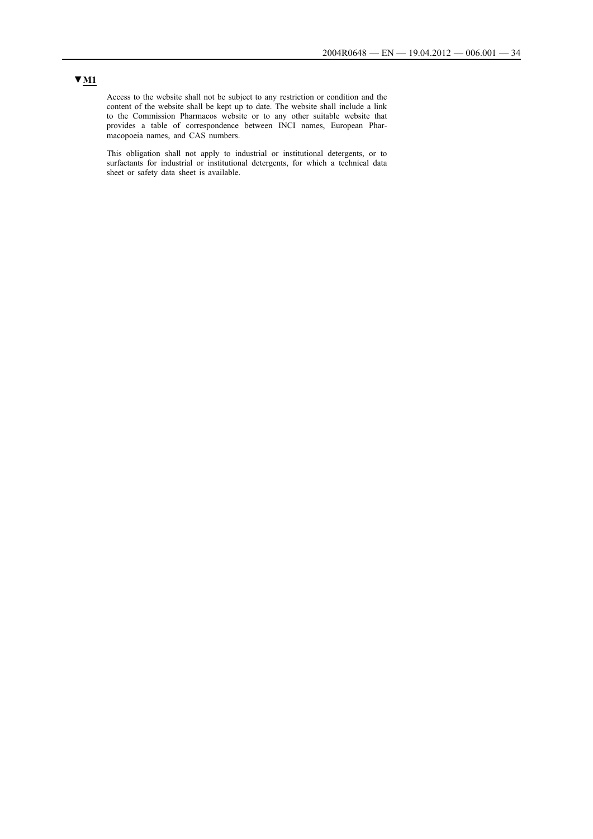## **▼M1**

Access to the website shall not be subject to any restriction or condition and the content of the website shall be kept up to date. The website shall include a link to the Commission Pharmacos website or to any other suitable website that provides a table of correspondence between INCI names, European Pharmacopoeia names, and CAS numbers.

This obligation shall not apply to industrial or institutional detergents, or to surfactants for industrial or institutional detergents, for which a technical data sheet or safety data sheet is available.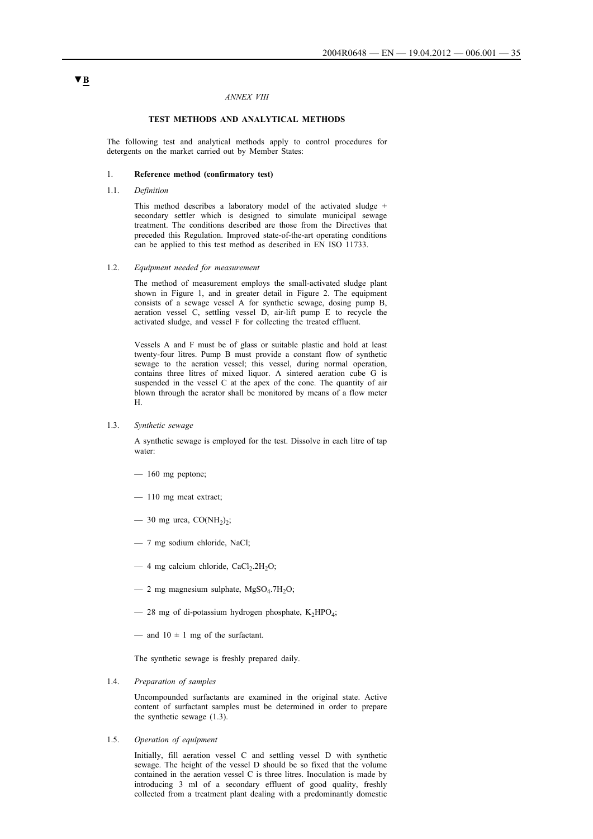#### *ANNEX VIII*

#### **TEST METHODS AND ANALYTICAL METHODS**

The following test and analytical methods apply to control procedures for detergents on the market carried out by Member States:

### 1. **Reference method (confirmatory test)**

1.1. *Definition*

This method describes a laboratory model of the activated sludge + secondary settler which is designed to simulate municipal sewage treatment. The conditions described are those from the Directives that preceded this Regulation. Improved state-of-the-art operating conditions can be applied to this test method as described in EN ISO 11733.

### 1.2. *Equipment needed for measurement*

The method of measurement employs the small-activated sludge plant shown in Figure 1, and in greater detail in Figure 2. The equipment consists of a sewage vessel A for synthetic sewage, dosing pump B, aeration vessel C, settling vessel D, air-lift pump E to recycle the activated sludge, and vessel F for collecting the treated effluent.

Vessels A and F must be of glass or suitable plastic and hold at least twenty-four litres. Pump B must provide a constant flow of synthetic sewage to the aeration vessel; this vessel, during normal operation, contains three litres of mixed liquor. A sintered aeration cube G is suspended in the vessel C at the apex of the cone. The quantity of air blown through the aerator shall be monitored by means of a flow meter H.

1.3. *Synthetic sewage*

A synthetic sewage is employed for the test. Dissolve in each litre of tap water:

- 160 mg peptone;
- 110 mg meat extract;
- 30 mg urea,  $CO(NH<sub>2</sub>)<sub>2</sub>$ ;
- 7 mg sodium chloride, NaCl;
- 4 mg calcium chloride,  $CaCl<sub>2</sub> 2H<sub>2</sub>O$ ;
- 2 mg magnesium sulphate, MgSO<sub>4</sub>.7H<sub>2</sub>O;
- 28 mg of di-potassium hydrogen phosphate,  $K_2HPO_4$ ;
- and  $10 \pm 1$  mg of the surfactant.

The synthetic sewage is freshly prepared daily.

1.4. *Preparation of samples*

Uncompounded surfactants are examined in the original state. Active content of surfactant samples must be determined in order to prepare the synthetic sewage (1.3).

1.5. *Operation of equipment*

Initially, fill aeration vessel C and settling vessel D with synthetic sewage. The height of the vessel D should be so fixed that the volume contained in the aeration vessel C is three litres. Inoculation is made by introducing 3 ml of a secondary effluent of good quality, freshly collected from a treatment plant dealing with a predominantly domestic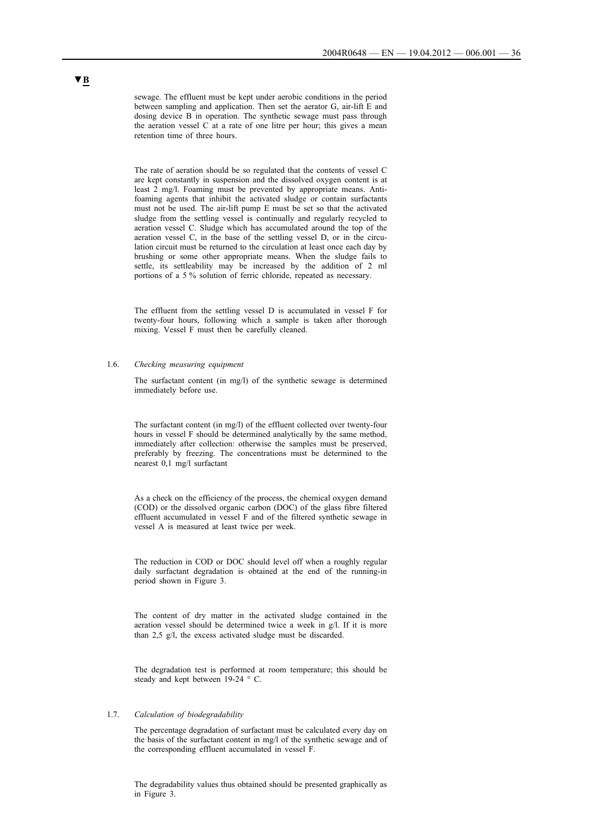sewage. The effluent must be kept under aerobic conditions in the period between sampling and application. Then set the aerator G, air-lift E and dosing device B in operation. The synthetic sewage must pass through the aeration vessel C at a rate of one litre per hour; this gives a mean retention time of three hours.

The rate of aeration should be so regulated that the contents of vessel C are kept constantly in suspension and the dissolved oxygen content is at least 2 mg/l. Foaming must be prevented by appropriate means. Antifoaming agents that inhibit the activated sludge or contain surfactants must not be used. The air-lift pump E must be set so that the activated sludge from the settling vessel is continually and regularly recycled to aeration vessel C. Sludge which has accumulated around the top of the aeration vessel C, in the base of the settling vessel D, or in the circulation circuit must be returned to the circulation at least once each day by brushing or some other appropriate means. When the sludge fails to settle, its settleability may be increased by the addition of 2 ml portions of a 5 % solution of ferric chloride, repeated as necessary.

The effluent from the settling vessel D is accumulated in vessel F for twenty-four hours, following which a sample is taken after thorough mixing. Vessel F must then be carefully cleaned.

### 1.6. *Checking measuring equipment*

The surfactant content (in mg/l) of the synthetic sewage is determined immediately before use.

The surfactant content (in mg/l) of the effluent collected over twenty-four hours in vessel F should be determined analytically by the same method, immediately after collection: otherwise the samples must be preserved, preferably by freezing. The concentrations must be determined to the nearest 0,1 mg/l surfactant

As a check on the efficiency of the process, the chemical oxygen demand (COD) or the dissolved organic carbon (DOC) of the glass fibre filtered effluent accumulated in vessel F and of the filtered synthetic sewage in vessel A is measured at least twice per week.

The reduction in COD or DOC should level off when a roughly regular daily surfactant degradation is obtained at the end of the running-in period shown in Figure 3.

The content of dry matter in the activated sludge contained in the aeration vessel should be determined twice a week in g/l. If it is more than 2,5 g/l, the excess activated sludge must be discarded.

The degradation test is performed at room temperature; this should be steady and kept between 19-24 ° C.

### 1.7. *Calculation of biodegradability*

The percentage degradation of surfactant must be calculated every day on the basis of the surfactant content in mg/l of the synthetic sewage and of the corresponding effluent accumulated in vessel F.

The degradability values thus obtained should be presented graphically as in Figure 3.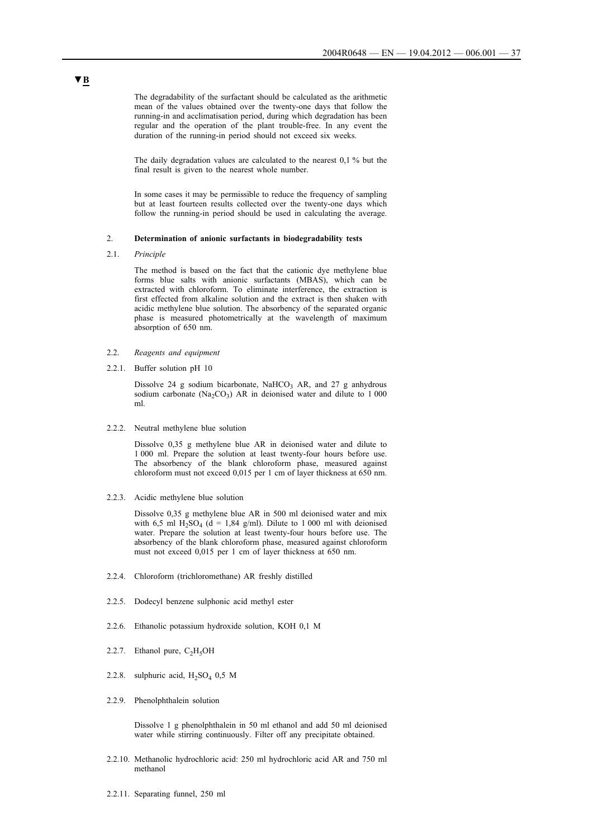The degradability of the surfactant should be calculated as the arithmetic mean of the values obtained over the twenty-one days that follow the running-in and acclimatisation period, during which degradation has been regular and the operation of the plant trouble-free. In any event the duration of the running-in period should not exceed six weeks.

The daily degradation values are calculated to the nearest 0,1 % but the final result is given to the nearest whole number.

In some cases it may be permissible to reduce the frequency of sampling but at least fourteen results collected over the twenty-one days which follow the running-in period should be used in calculating the average.

### 2. **Determination of anionic surfactants in biodegradability tests**

2.1. *Principle*

The method is based on the fact that the cationic dye methylene blue forms blue salts with anionic surfactants (MBAS), which can be extracted with chloroform. To eliminate interference, the extraction is first effected from alkaline solution and the extract is then shaken with acidic methylene blue solution. The absorbency of the separated organic phase is measured photometrically at the wavelength of maximum absorption of 650 nm.

- 2.2. *Reagents and equipment*
- 2.2.1. Buffer solution pH 10

Dissolve 24 g sodium bicarbonate, NaHCO<sub>3</sub> AR, and 27 g anhydrous sodium carbonate (Na<sub>2</sub>CO<sub>3</sub>) AR in deionised water and dilute to 1 000 ml.

2.2.2. Neutral methylene blue solution

Dissolve 0,35 g methylene blue AR in deionised water and dilute to 1 000 ml. Prepare the solution at least twenty-four hours before use. The absorbency of the blank chloroform phase, measured against chloroform must not exceed 0,015 per 1 cm of layer thickness at 650 nm.

2.2.3. Acidic methylene blue solution

Dissolve 0,35 g methylene blue AR in 500 ml deionised water and mix with 6,5 ml  $H_2SO_4$  (d = 1,84 g/ml). Dilute to 1 000 ml with deionised water. Prepare the solution at least twenty-four hours before use. The absorbency of the blank chloroform phase, measured against chloroform must not exceed 0,015 per 1 cm of layer thickness at 650 nm.

- 2.2.4. Chloroform (trichloromethane) AR freshly distilled
- 2.2.5. Dodecyl benzene sulphonic acid methyl ester
- 2.2.6. Ethanolic potassium hydroxide solution, KOH 0,1 M
- 2.2.7. Ethanol pure,  $C_2H_5OH$
- 2.2.8. sulphuric acid,  $H_2SO_4$  0,5 M
- 2.2.9. Phenolphthalein solution

Dissolve 1 g phenolphthalein in 50 ml ethanol and add 50 ml deionised water while stirring continuously. Filter off any precipitate obtained.

- 2.2.10. Methanolic hydrochloric acid: 250 ml hydrochloric acid AR and 750 ml methanol
- 2.2.11. Separating funnel, 250 ml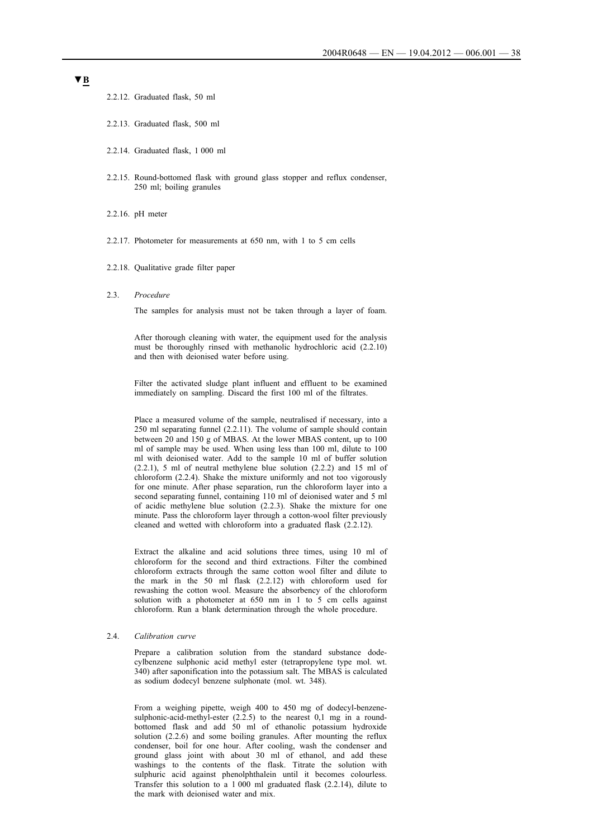2.2.12. Graduated flask, 50 ml

- 2.2.13. Graduated flask, 500 ml
- 2.2.14. Graduated flask, 1 000 ml
- 2.2.15. Round-bottomed flask with ground glass stopper and reflux condenser, 250 ml; boiling granules
- 2.2.16. pH meter
- 2.2.17. Photometer for measurements at 650 nm, with 1 to 5 cm cells
- 2.2.18. Qualitative grade filter paper
- 2.3. *Procedure*

The samples for analysis must not be taken through a layer of foam.

After thorough cleaning with water, the equipment used for the analysis must be thoroughly rinsed with methanolic hydrochloric acid (2.2.10) and then with deionised water before using.

Filter the activated sludge plant influent and effluent to be examined immediately on sampling. Discard the first 100 ml of the filtrates.

Place a measured volume of the sample, neutralised if necessary, into a 250 ml separating funnel (2.2.11). The volume of sample should contain between 20 and 150 g of MBAS. At the lower MBAS content, up to 100 ml of sample may be used. When using less than 100 ml, dilute to 100 ml with deionised water. Add to the sample 10 ml of buffer solution (2.2.1), 5 ml of neutral methylene blue solution (2.2.2) and 15 ml of chloroform (2.2.4). Shake the mixture uniformly and not too vigorously for one minute. After phase separation, run the chloroform layer into a second separating funnel, containing 110 ml of deionised water and 5 ml of acidic methylene blue solution (2.2.3). Shake the mixture for one minute. Pass the chloroform layer through a cotton-wool filter previously cleaned and wetted with chloroform into a graduated flask (2.2.12).

Extract the alkaline and acid solutions three times, using 10 ml of chloroform for the second and third extractions. Filter the combined chloroform extracts through the same cotton wool filter and dilute to the mark in the 50 ml flask (2.2.12) with chloroform used for rewashing the cotton wool. Measure the absorbency of the chloroform solution with a photometer at 650 nm in 1 to 5 cm cells against chloroform. Run a blank determination through the whole procedure.

### 2.4. *Calibration curve*

Prepare a calibration solution from the standard substance dodecylbenzene sulphonic acid methyl ester (tetrapropylene type mol. wt. 340) after saponification into the potassium salt. The MBAS is calculated as sodium dodecyl benzene sulphonate (mol. wt. 348).

From a weighing pipette, weigh 400 to 450 mg of dodecyl-benzenesulphonic-acid-methyl-ester  $(2.2.5)$  to the nearest  $0,1$  mg in a roundbottomed flask and add 50 ml of ethanolic potassium hydroxide solution (2.2.6) and some boiling granules. After mounting the reflux condenser, boil for one hour. After cooling, wash the condenser and ground glass joint with about 30 ml of ethanol, and add these washings to the contents of the flask. Titrate the solution with sulphuric acid against phenolphthalein until it becomes colourless. Transfer this solution to a 1 000 ml graduated flask (2.2.14), dilute to the mark with deionised water and mix.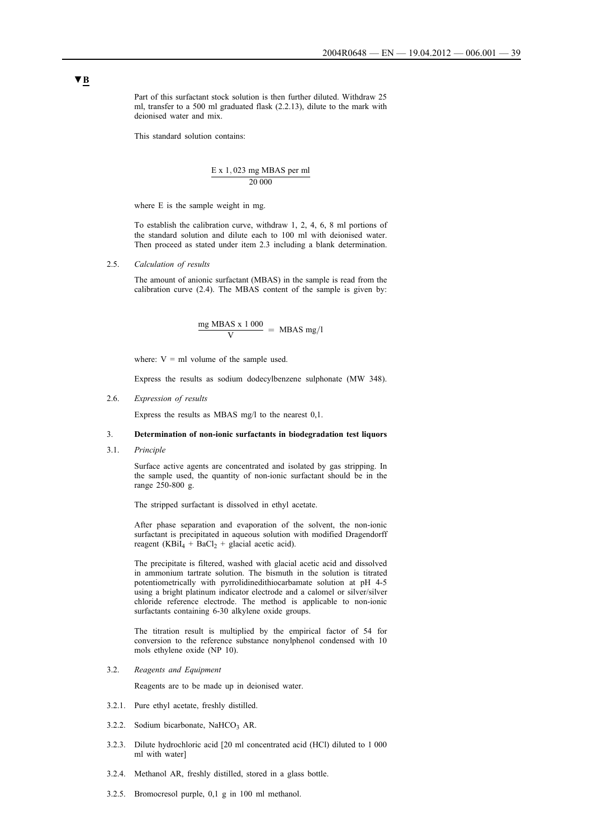Part of this surfactant stock solution is then further diluted. Withdraw 25 ml, transfer to a 500 ml graduated flask (2.2.13), dilute to the mark with deionised water and mix.

This standard solution contains:

$$
\frac{E \times 1,023 \text{ mg MBAS per ml}}{20\,000}
$$

where E is the sample weight in mg.

To establish the calibration curve, withdraw 1, 2, 4, 6, 8 ml portions of the standard solution and dilute each to 100 ml with deionised water. Then proceed as stated under item 2.3 including a blank determination.

2.5. *Calculation of results*

The amount of anionic surfactant (MBAS) in the sample is read from the calibration curve (2.4). The MBAS content of the sample is given by:

$$
\frac{mg \text{ MBAS} \times 1000}{V} = \text{ MBAS mg/l}
$$

where:  $V = ml$  volume of the sample used.

Express the results as sodium dodecylbenzene sulphonate (MW 348).

2.6. *Expression of results*

Express the results as MBAS mg/l to the nearest 0,1.

### 3. **Determination of non-ionic surfactants in biodegradation test liquors**

3.1. *Principle*

Surface active agents are concentrated and isolated by gas stripping. In the sample used, the quantity of non-ionic surfactant should be in the range 250-800 g.

The stripped surfactant is dissolved in ethyl acetate.

After phase separation and evaporation of the solvent, the non-ionic surfactant is precipitated in aqueous solution with modified Dragendorff reagent (KBiI<sub>4</sub> + BaCl<sub>2</sub> + glacial acetic acid).

The precipitate is filtered, washed with glacial acetic acid and dissolved in ammonium tartrate solution. The bismuth in the solution is titrated potentiometrically with pyrrolidinedithiocarbamate solution at pH 4-5 using a bright platinum indicator electrode and a calomel or silver/silver chloride reference electrode. The method is applicable to non-ionic surfactants containing 6-30 alkylene oxide groups.

The titration result is multiplied by the empirical factor of 54 for conversion to the reference substance nonylphenol condensed with 10 mols ethylene oxide (NP 10).

3.2. *Reagents and Equipment*

Reagents are to be made up in deionised water.

- 3.2.1. Pure ethyl acetate, freshly distilled.
- 3.2.2. Sodium bicarbonate, NaHCO3 AR.
- 3.2.3. Dilute hydrochloric acid [20 ml concentrated acid (HCl) diluted to 1 000 ml with water]
- 3.2.4. Methanol AR, freshly distilled, stored in a glass bottle.
- 3.2.5. Bromocresol purple, 0,1 g in 100 ml methanol.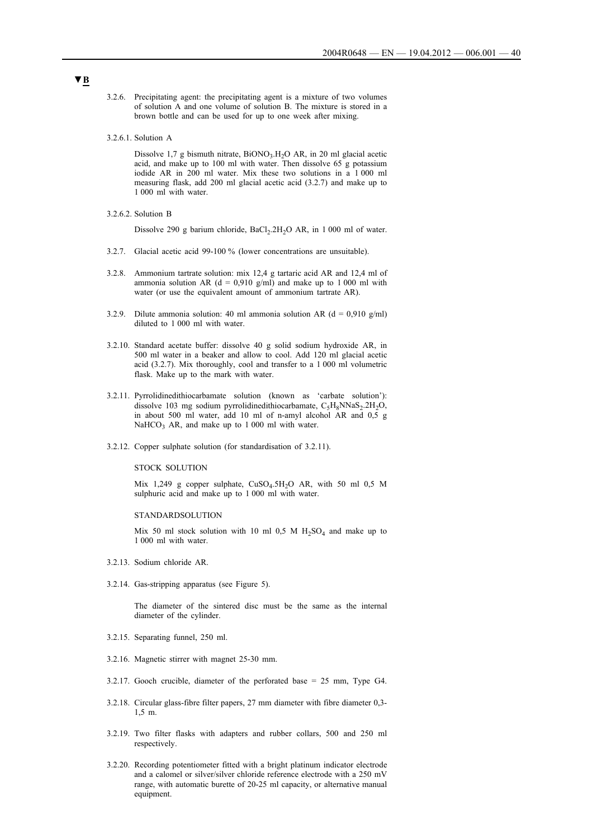- 3.2.6. Precipitating agent: the precipitating agent is a mixture of two volumes of solution A and one volume of solution B. The mixture is stored in a brown bottle and can be used for up to one week after mixing.
- 3.2.6.1. Solution A

Dissolve 1,7 g bismuth nitrate,  $BiONO<sub>3</sub>$ ,  $H<sub>2</sub>O$  AR, in 20 ml glacial acetic acid, and make up to 100 ml with water. Then dissolve 65 g potassium iodide AR in 200 ml water. Mix these two solutions in a 1 000 ml measuring flask, add 200 ml glacial acetic acid (3.2.7) and make up to 1 000 ml with water.

3.2.6.2. Solution B

Dissolve 290 g barium chloride, BaCl<sub>2</sub>.2H<sub>2</sub>O AR, in 1 000 ml of water.

- 3.2.7. Glacial acetic acid 99-100 % (lower concentrations are unsuitable).
- 3.2.8. Ammonium tartrate solution: mix 12,4 g tartaric acid AR and 12,4 ml of ammonia solution AR (d = 0.910 g/ml) and make up to 1 000 ml with water (or use the equivalent amount of ammonium tartrate AR).
- 3.2.9. Dilute ammonia solution: 40 ml ammonia solution AR ( $d = 0.910$  g/ml) diluted to 1 000 ml with water.
- 3.2.10. Standard acetate buffer: dissolve 40 g solid sodium hydroxide AR, in 500 ml water in a beaker and allow to cool. Add 120 ml glacial acetic acid (3.2.7). Mix thoroughly, cool and transfer to a 1 000 ml volumetric flask. Make up to the mark with water.
- 3.2.11. Pyrrolidinedithiocarbamate solution (known as 'carbate solution'): dissolve 103 mg sodium pyrrolidinedithiocarbamate,  $C_5H_8NNaS_2.2H_2O$ , in about 500 ml water, add 10 ml of n-amyl alcohol AR and 0,5 g  $NaHCO<sub>3</sub>$  AR, and make up to 1 000 ml with water.
- 3.2.12. Copper sulphate solution (for standardisation of 3.2.11).

### STOCK SOLUTION

Mix 1,249 g copper sulphate,  $CuSO<sub>4</sub>.5H<sub>2</sub>O$  AR, with 50 ml 0,5 M sulphuric acid and make up to 1 000 ml with water.

#### STANDARDSOLUTION

Mix 50 ml stock solution with 10 ml 0,5 M  $H_2SO_4$  and make up to 1 000 ml with water.

- 3.2.13. Sodium chloride AR.
- 3.2.14. Gas-stripping apparatus (see Figure 5).

The diameter of the sintered disc must be the same as the internal diameter of the cylinder.

- 3.2.15. Separating funnel, 250 ml.
- 3.2.16. Magnetic stirrer with magnet 25-30 mm.
- 3.2.17. Gooch crucible, diameter of the perforated base = 25 mm, Type G4.
- 3.2.18. Circular glass-fibre filter papers, 27 mm diameter with fibre diameter 0,3- 1,5 m.
- 3.2.19. Two filter flasks with adapters and rubber collars, 500 and 250 ml respectively.
- 3.2.20. Recording potentiometer fitted with a bright platinum indicator electrode and a calomel or silver/silver chloride reference electrode with a 250 mV range, with automatic burette of 20-25 ml capacity, or alternative manual equipment.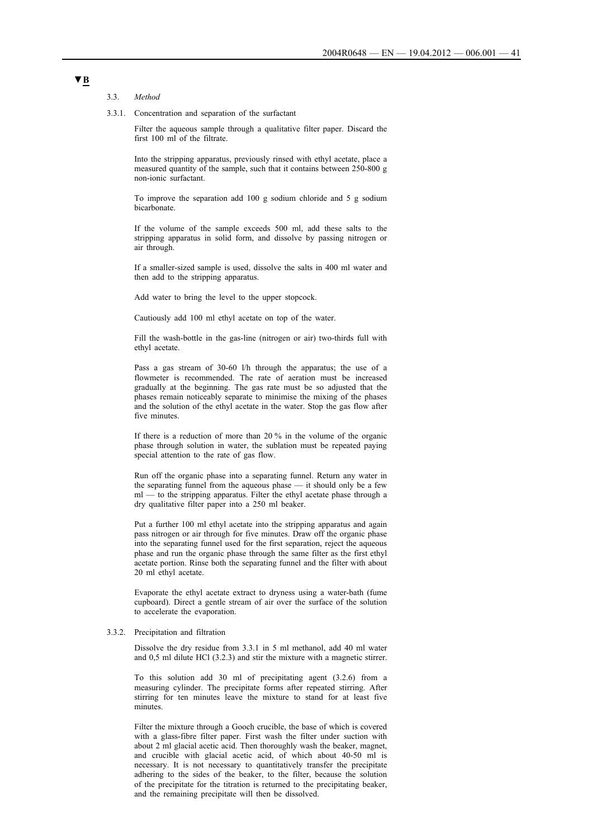#### 3.3. *Method*

3.3.1. Concentration and separation of the surfactant

Filter the aqueous sample through a qualitative filter paper. Discard the first 100 ml of the filtrate.

Into the stripping apparatus, previously rinsed with ethyl acetate, place a measured quantity of the sample, such that it contains between 250-800 g non-ionic surfactant.

To improve the separation add 100 g sodium chloride and 5 g sodium bicarbonate.

If the volume of the sample exceeds 500 ml, add these salts to the stripping apparatus in solid form, and dissolve by passing nitrogen or air through.

If a smaller-sized sample is used, dissolve the salts in 400 ml water and then add to the stripping apparatus.

Add water to bring the level to the upper stopcock.

Cautiously add 100 ml ethyl acetate on top of the water.

Fill the wash-bottle in the gas-line (nitrogen or air) two-thirds full with ethyl acetate.

Pass a gas stream of 30-60 l/h through the apparatus; the use of a flowmeter is recommended. The rate of aeration must be increased gradually at the beginning. The gas rate must be so adjusted that the phases remain noticeably separate to minimise the mixing of the phases and the solution of the ethyl acetate in the water. Stop the gas flow after five minutes.

If there is a reduction of more than 20 % in the volume of the organic phase through solution in water, the sublation must be repeated paying special attention to the rate of gas flow.

Run off the organic phase into a separating funnel. Return any water in the separating funnel from the aqueous phase — it should only be a few ml — to the stripping apparatus. Filter the ethyl acetate phase through a dry qualitative filter paper into a 250 ml beaker.

Put a further 100 ml ethyl acetate into the stripping apparatus and again pass nitrogen or air through for five minutes. Draw off the organic phase into the separating funnel used for the first separation, reject the aqueous phase and run the organic phase through the same filter as the first ethyl acetate portion. Rinse both the separating funnel and the filter with about 20 ml ethyl acetate.

Evaporate the ethyl acetate extract to dryness using a water-bath (fume cupboard). Direct a gentle stream of air over the surface of the solution to accelerate the evaporation.

#### 3.3.2. Precipitation and filtration

Dissolve the dry residue from 3.3.1 in 5 ml methanol, add 40 ml water and 0,5 ml dilute HCl (3.2.3) and stir the mixture with a magnetic stirrer.

To this solution add 30 ml of precipitating agent (3.2.6) from a measuring cylinder. The precipitate forms after repeated stirring. After stirring for ten minutes leave the mixture to stand for at least five minutes.

Filter the mixture through a Gooch crucible, the base of which is covered with a glass-fibre filter paper. First wash the filter under suction with about 2 ml glacial acetic acid. Then thoroughly wash the beaker, magnet, and crucible with glacial acetic acid, of which about 40-50 ml is necessary. It is not necessary to quantitatively transfer the precipitate adhering to the sides of the beaker, to the filter, because the solution of the precipitate for the titration is returned to the precipitating beaker, and the remaining precipitate will then be dissolved.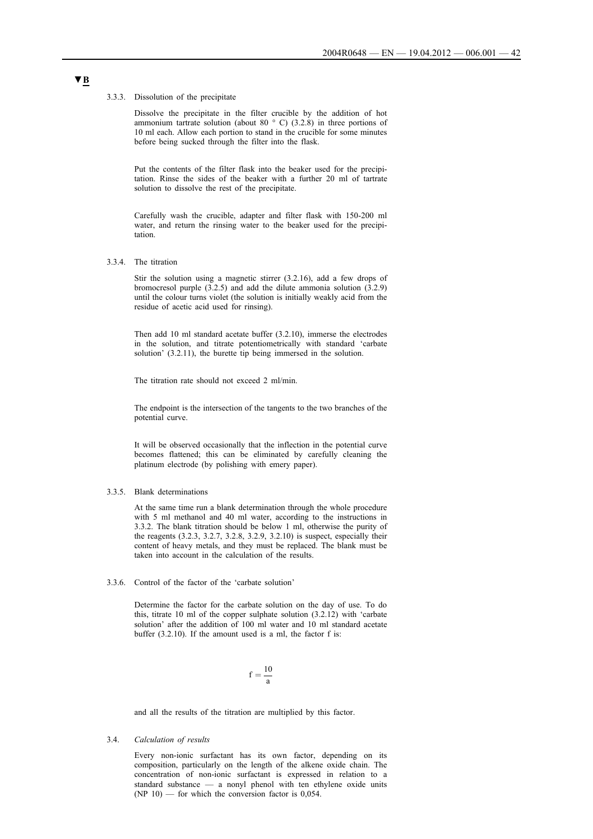#### 3.3.3. Dissolution of the precipitate

Dissolve the precipitate in the filter crucible by the addition of hot ammonium tartrate solution (about 80  $\degree$  C) (3.2.8) in three portions of 10 ml each. Allow each portion to stand in the crucible for some minutes before being sucked through the filter into the flask.

Put the contents of the filter flask into the beaker used for the precipitation. Rinse the sides of the beaker with a further 20 ml of tartrate solution to dissolve the rest of the precipitate.

Carefully wash the crucible, adapter and filter flask with 150-200 ml water, and return the rinsing water to the beaker used for the precipitation.

3.3.4. The titration

Stir the solution using a magnetic stirrer (3.2.16), add a few drops of bromocresol purple  $(3.2.5)$  and add the dilute ammonia solution  $(3.2.9)$ until the colour turns violet (the solution is initially weakly acid from the residue of acetic acid used for rinsing).

Then add 10 ml standard acetate buffer (3.2.10), immerse the electrodes in the solution, and titrate potentiometrically with standard 'carbate solution' (3.2.11), the burette tip being immersed in the solution.

The titration rate should not exceed 2 ml/min.

The endpoint is the intersection of the tangents to the two branches of the potential curve.

It will be observed occasionally that the inflection in the potential curve becomes flattened; this can be eliminated by carefully cleaning the platinum electrode (by polishing with emery paper).

#### 3.3.5. Blank determinations

At the same time run a blank determination through the whole procedure with 5 ml methanol and 40 ml water, according to the instructions in 3.3.2. The blank titration should be below 1 ml, otherwise the purity of the reagents (3.2.3, 3.2.7, 3.2.8, 3.2.9, 3.2.10) is suspect, especially their content of heavy metals, and they must be replaced. The blank must be taken into account in the calculation of the results.

### 3.3.6. Control of the factor of the 'carbate solution'

Determine the factor for the carbate solution on the day of use. To do this, titrate 10 ml of the copper sulphate solution (3.2.12) with 'carbate solution' after the addition of 100 ml water and 10 ml standard acetate buffer (3.2.10). If the amount used is a ml, the factor f is:

$$
f=\frac{10}{a}\,
$$

and all the results of the titration are multiplied by this factor.

### 3.4. *Calculation of results*

Every non-ionic surfactant has its own factor, depending on its composition, particularly on the length of the alkene oxide chain. The concentration of non-ionic surfactant is expressed in relation to a standard substance — a nonyl phenol with ten ethylene oxide units  $(NP 10)$  — for which the conversion factor is 0,054.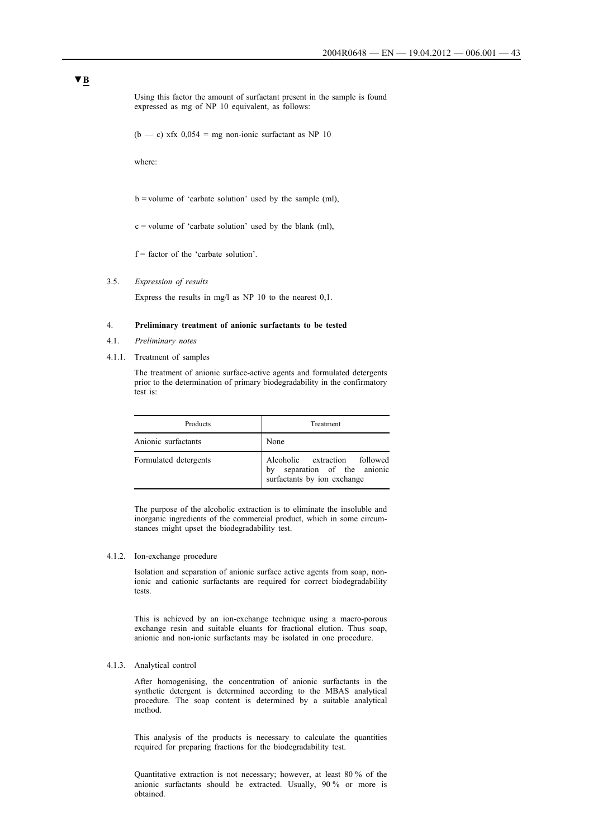Using this factor the amount of surfactant present in the sample is found expressed as mg of NP 10 equivalent, as follows:

 $(b - c)$  xfx  $0.054$  = mg non-ionic surfactant as NP 10

where:

 $b =$  volume of 'carbate solution' used by the sample (ml),

 $c =$  volume of 'carbate solution' used by the blank (ml),

 $f =$  factor of the 'carbate solution'.

#### 3.5. *Expression of results*

Express the results in mg/l as NP 10 to the nearest 0,1.

### 4. **Preliminary treatment of anionic surfactants to be tested**

- 4.1. *Preliminary notes*
- 4.1.1. Treatment of samples

The treatment of anionic surface-active agents and formulated detergents prior to the determination of primary biodegradability in the confirmatory test is:

| Products              | Treatment                                                                                       |
|-----------------------|-------------------------------------------------------------------------------------------------|
| Anionic surfactants   | None                                                                                            |
| Formulated detergents | Alcoholic extraction followed<br>separation of the anionic<br>by<br>surfactants by ion exchange |

The purpose of the alcoholic extraction is to eliminate the insoluble and inorganic ingredients of the commercial product, which in some circumstances might upset the biodegradability test.

#### 4.1.2. Ion-exchange procedure

Isolation and separation of anionic surface active agents from soap, nonionic and cationic surfactants are required for correct biodegradability tests.

This is achieved by an ion-exchange technique using a macro-porous exchange resin and suitable eluants for fractional elution. Thus soap, anionic and non-ionic surfactants may be isolated in one procedure.

#### 4.1.3. Analytical control

After homogenising, the concentration of anionic surfactants in the synthetic detergent is determined according to the MBAS analytical procedure. The soap content is determined by a suitable analytical method.

This analysis of the products is necessary to calculate the quantities required for preparing fractions for the biodegradability test.

Quantitative extraction is not necessary; however, at least 80 % of the anionic surfactants should be extracted. Usually, 90 % or more is obtained.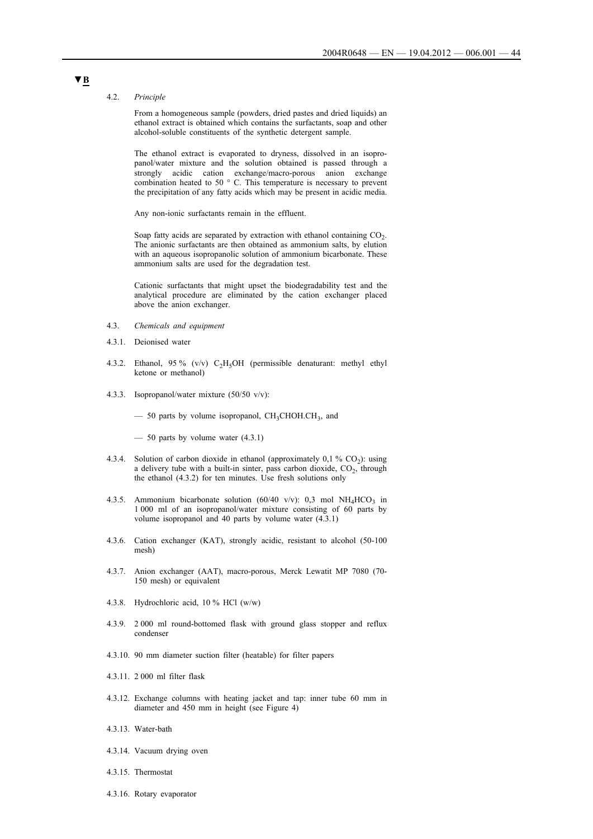#### 4.2. *Principle*

From a homogeneous sample (powders, dried pastes and dried liquids) an ethanol extract is obtained which contains the surfactants, soap and other alcohol-soluble constituents of the synthetic detergent sample.

The ethanol extract is evaporated to dryness, dissolved in an isopropanol/water mixture and the solution obtained is passed through a strongly acidic cation exchange/macro-porous anion exchange combination heated to 50 ° C. This temperature is necessary to prevent the precipitation of any fatty acids which may be present in acidic media.

Any non-ionic surfactants remain in the effluent.

Soap fatty acids are separated by extraction with ethanol containing  $CO<sub>2</sub>$ . The anionic surfactants are then obtained as ammonium salts, by elution with an aqueous isopropanolic solution of ammonium bicarbonate. These ammonium salts are used for the degradation test.

Cationic surfactants that might upset the biodegradability test and the analytical procedure are eliminated by the cation exchanger placed above the anion exchanger.

- 4.3. *Chemicals and equipment*
- 4.3.1. Deionised water
- 4.3.2. Ethanol, 95 % (v/v)  $C_2H_5OH$  (permissible denaturant: methyl ethyl ketone or methanol)
- 4.3.3. Isopropanol/water mixture (50/50 v/v):

 $-$  50 parts by volume isopropanol, CH<sub>3</sub>CHOH.CH<sub>3</sub>, and

 $-$  50 parts by volume water  $(4.3.1)$ 

- 4.3.4. Solution of carbon dioxide in ethanol (approximately  $0,1\%$  CO<sub>2</sub>): using a delivery tube with a built-in sinter, pass carbon dioxide,  $CO<sub>2</sub>$ , through the ethanol (4.3.2) for ten minutes. Use fresh solutions only
- 4.3.5. Ammonium bicarbonate solution (60/40 v/v): 0,3 mol NH<sub>4</sub>HCO<sub>3</sub> in 1 000 ml of an isopropanol/water mixture consisting of 60 parts by volume isopropanol and 40 parts by volume water (4.3.1)
- 4.3.6. Cation exchanger (KAT), strongly acidic, resistant to alcohol (50-100 mesh)
- 4.3.7. Anion exchanger (AAT), macro-porous, Merck Lewatit MP 7080 (70- 150 mesh) or equivalent
- 4.3.8. Hydrochloric acid, 10 % HCl (w/w)
- 4.3.9. 2 000 ml round-bottomed flask with ground glass stopper and reflux condenser
- 4.3.10. 90 mm diameter suction filter (heatable) for filter papers
- 4.3.11. 2 000 ml filter flask
- 4.3.12. Exchange columns with heating jacket and tap: inner tube 60 mm in diameter and 450 mm in height (see Figure 4)
- 4.3.13. Water-bath
- 4.3.14. Vacuum drying oven
- 4.3.15. Thermostat
- 4.3.16. Rotary evaporator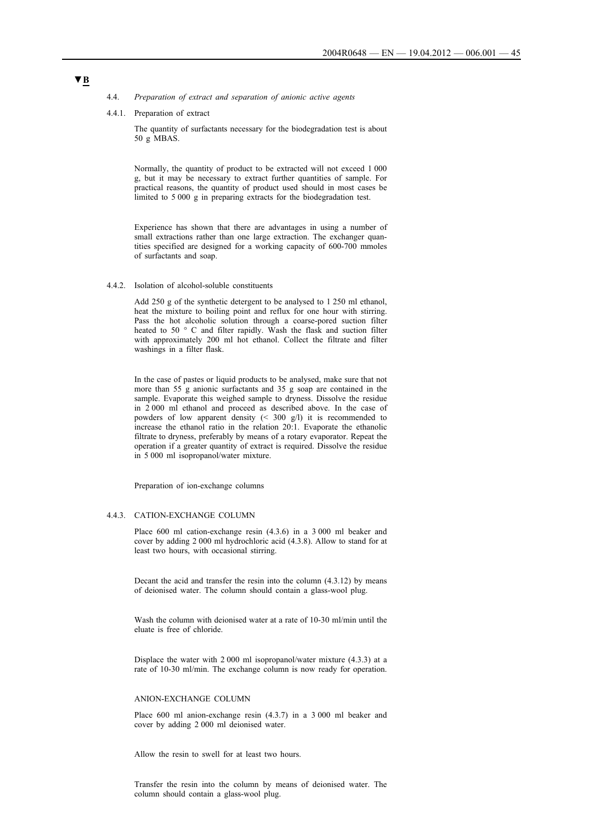- 4.4. *Preparation of extract and separation of anionic active agents*
- 4.4.1. Preparation of extract

The quantity of surfactants necessary for the biodegradation test is about 50 g MBAS.

Normally, the quantity of product to be extracted will not exceed 1 000 g, but it may be necessary to extract further quantities of sample. For practical reasons, the quantity of product used should in most cases be limited to 5 000 g in preparing extracts for the biodegradation test.

Experience has shown that there are advantages in using a number of small extractions rather than one large extraction. The exchanger quantities specified are designed for a working capacity of 600-700 mmoles of surfactants and soap.

4.4.2. Isolation of alcohol-soluble constituents

Add 250 g of the synthetic detergent to be analysed to 1 250 ml ethanol, heat the mixture to boiling point and reflux for one hour with stirring. Pass the hot alcoholic solution through a coarse-pored suction filter heated to 50 ° C and filter rapidly. Wash the flask and suction filter with approximately 200 ml hot ethanol. Collect the filtrate and filter washings in a filter flask.

In the case of pastes or liquid products to be analysed, make sure that not more than  $55<sup>o</sup>$  g anionic surfactants and  $35<sup>o</sup>$  g soap are contained in the sample. Evaporate this weighed sample to dryness. Dissolve the residue in 2 000 ml ethanol and proceed as described above. In the case of powders of low apparent density (< 300 g/l) it is recommended to increase the ethanol ratio in the relation 20:1. Evaporate the ethanolic filtrate to dryness, preferably by means of a rotary evaporator. Repeat the operation if a greater quantity of extract is required. Dissolve the residue in 5 000 ml isopropanol/water mixture.

Preparation of ion-exchange columns

### 4.4.3. CATION-EXCHANGE COLUMN

Place 600 ml cation-exchange resin (4.3.6) in a 3 000 ml beaker and cover by adding 2 000 ml hydrochloric acid (4.3.8). Allow to stand for at least two hours, with occasional stirring.

Decant the acid and transfer the resin into the column (4.3.12) by means of deionised water. The column should contain a glass-wool plug.

Wash the column with deionised water at a rate of 10-30 ml/min until the eluate is free of chloride.

Displace the water with 2 000 ml isopropanol/water mixture (4.3.3) at a rate of 10-30 ml/min. The exchange column is now ready for operation.

#### ANION-EXCHANGE COLUMN

Place 600 ml anion-exchange resin (4.3.7) in a 3 000 ml beaker and cover by adding 2 000 ml deionised water.

Allow the resin to swell for at least two hours.

Transfer the resin into the column by means of deionised water. The column should contain a glass-wool plug.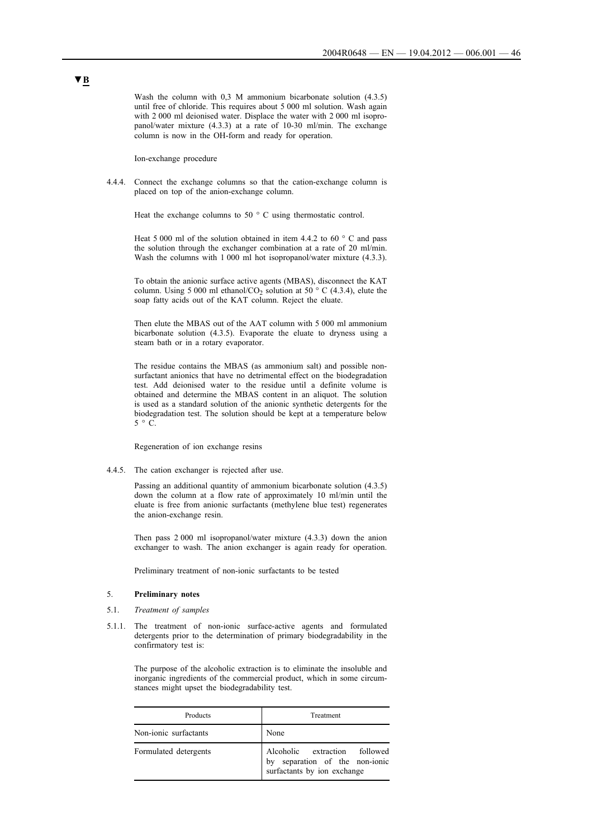Wash the column with 0,3 M ammonium bicarbonate solution  $(4.3.5)$ until free of chloride. This requires about 5 000 ml solution. Wash again with 2 000 ml deionised water. Displace the water with 2 000 ml isopropanol/water mixture (4.3.3) at a rate of 10-30 ml/min. The exchange column is now in the OH-form and ready for operation.

Ion-exchange procedure

4.4.4. Connect the exchange columns so that the cation-exchange column is placed on top of the anion-exchange column.

Heat the exchange columns to 50 $\degree$  C using thermostatic control.

Heat 5 000 ml of the solution obtained in item 4.4.2 to 60  $\degree$  C and pass the solution through the exchanger combination at a rate of 20 ml/min. Wash the columns with 1 000 ml hot isopropanol/water mixture  $(4.3.3)$ .

To obtain the anionic surface active agents (MBAS), disconnect the KAT column. Using 5 000 ml ethanol/CO<sub>2</sub> solution at 50  $\degree$  C (4.3.4), elute the soap fatty acids out of the KAT column. Reject the eluate.

Then elute the MBAS out of the AAT column with 5 000 ml ammonium bicarbonate solution (4.3.5). Evaporate the eluate to dryness using a steam bath or in a rotary evaporator.

The residue contains the MBAS (as ammonium salt) and possible nonsurfactant anionics that have no detrimental effect on the biodegradation test. Add deionised water to the residue until a definite volume is obtained and determine the MBAS content in an aliquot. The solution is used as a standard solution of the anionic synthetic detergents for the biodegradation test. The solution should be kept at a temperature below  $5 \circ C$ .

Regeneration of ion exchange resins

4.4.5. The cation exchanger is rejected after use.

Passing an additional quantity of ammonium bicarbonate solution (4.3.5) down the column at a flow rate of approximately 10 ml/min until the eluate is free from anionic surfactants (methylene blue test) regenerates the anion-exchange resin.

Then pass 2 000 ml isopropanol/water mixture (4.3.3) down the anion exchanger to wash. The anion exchanger is again ready for operation.

Preliminary treatment of non-ionic surfactants to be tested

### 5. **Preliminary notes**

- 5.1. *Treatment of samples*
- 5.1.1. The treatment of non-ionic surface-active agents and formulated detergents prior to the determination of primary biodegradability in the confirmatory test is:

The purpose of the alcoholic extraction is to eliminate the insoluble and inorganic ingredients of the commercial product, which in some circumstances might upset the biodegradability test.

| Products              | Treatment                                                                                      |
|-----------------------|------------------------------------------------------------------------------------------------|
| Non-ionic surfactants | None                                                                                           |
| Formulated detergents | Alcoholic extraction followed<br>by separation of the non-ionic<br>surfactants by ion exchange |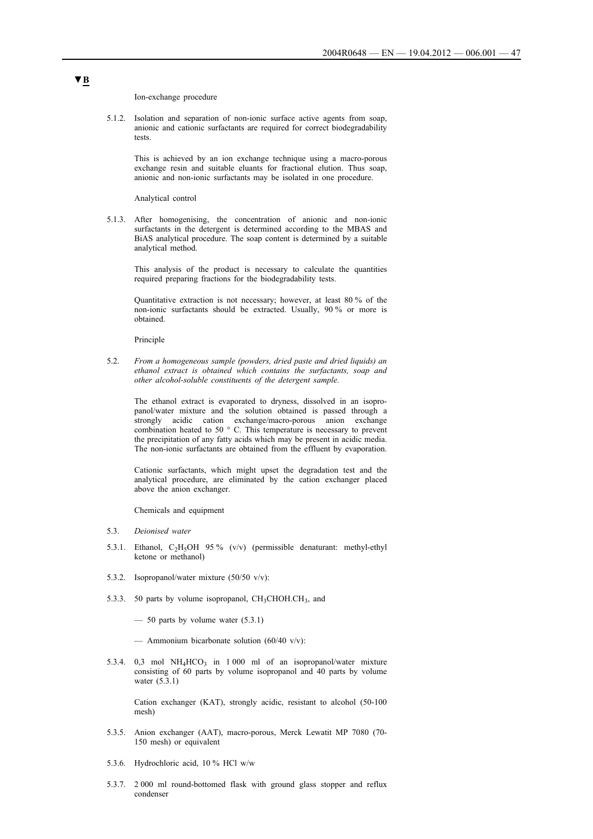Ion-exchange procedure

5.1.2. Isolation and separation of non-ionic surface active agents from soap, anionic and cationic surfactants are required for correct biodegradability tests.

This is achieved by an ion exchange technique using a macro-porous exchange resin and suitable eluants for fractional elution. Thus soap, anionic and non-ionic surfactants may be isolated in one procedure.

Analytical control

5.1.3. After homogenising, the concentration of anionic and non-ionic surfactants in the detergent is determined according to the MBAS and BiAS analytical procedure. The soap content is determined by a suitable analytical method.

This analysis of the product is necessary to calculate the quantities required preparing fractions for the biodegradability tests.

Quantitative extraction is not necessary; however, at least 80 % of the non-ionic surfactants should be extracted. Usually, 90 % or more is obtained.

Principle

5.2. *From a homogeneous sample (powders, dried paste and dried liquids) an ethanol extract is obtained which contains the surfactants, soap and other alcohol-soluble constituents of the detergent sample.*

The ethanol extract is evaporated to dryness, dissolved in an isopropanol/water mixture and the solution obtained is passed through a strongly acidic cation exchange/macro-porous anion exchange combination heated to 50 ° C. This temperature is necessary to prevent the precipitation of any fatty acids which may be present in acidic media. The non-ionic surfactants are obtained from the effluent by evaporation.

Cationic surfactants, which might upset the degradation test and the analytical procedure, are eliminated by the cation exchanger placed above the anion exchanger.

Chemicals and equipment

- 5.3. *Deionised water*
- 5.3.1. Ethanol,  $C_2H_5OH$  95% (v/v) (permissible denaturant: methyl-ethyl ketone or methanol)
- 5.3.2. Isopropanol/water mixture (50/50 v/v):
- 5.3.3. 50 parts by volume isopropanol,  $CH<sub>3</sub>CHOH.CH<sub>3</sub>$ , and
	- $-$  50 parts by volume water (5.3.1)
	- Ammonium bicarbonate solution  $(60/40 \text{ v/v})$ :
- 5.3.4. 0,3 mol  $NH_4HCO_3$  in 1 000 ml of an isopropanol/water mixture consisting of 60 parts by volume isopropanol and 40 parts by volume water (5.3.1)

Cation exchanger (KAT), strongly acidic, resistant to alcohol (50-100 mesh)

- 5.3.5. Anion exchanger (AAT), macro-porous, Merck Lewatit MP 7080 (70- 150 mesh) or equivalent
- 5.3.6. Hydrochloric acid, 10 % HCl w/w
- 5.3.7. 2 000 ml round-bottomed flask with ground glass stopper and reflux condenser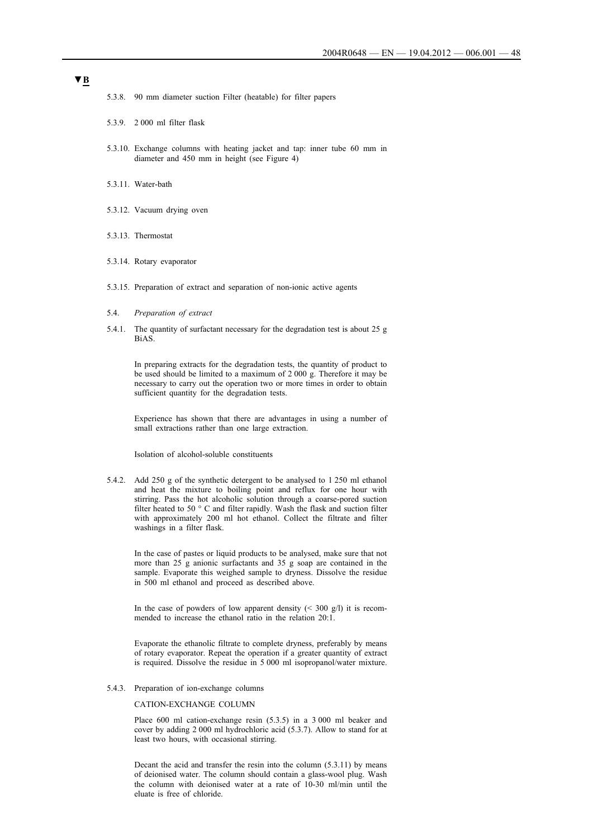- 5.3.8. 90 mm diameter suction Filter (heatable) for filter papers
- 5.3.9. 2 000 ml filter flask
- 5.3.10. Exchange columns with heating jacket and tap: inner tube 60 mm in diameter and 450 mm in height (see Figure 4)
- 5.3.11. Water-bath
- 5.3.12. Vacuum drying oven
- 5.3.13. Thermostat
- 5.3.14. Rotary evaporator
- 5.3.15. Preparation of extract and separation of non-ionic active agents
- 5.4. *Preparation of extract*
- 5.4.1. The quantity of surfactant necessary for the degradation test is about 25 g BiAS.

In preparing extracts for the degradation tests, the quantity of product to be used should be limited to a maximum of 2 000 g. Therefore it may be necessary to carry out the operation two or more times in order to obtain sufficient quantity for the degradation tests.

Experience has shown that there are advantages in using a number of small extractions rather than one large extraction.

Isolation of alcohol-soluble constituents

5.4.2. Add 250 g of the synthetic detergent to be analysed to 1 250 ml ethanol and heat the mixture to boiling point and reflux for one hour with stirring. Pass the hot alcoholic solution through a coarse-pored suction filter heated to 50 ° C and filter rapidly. Wash the flask and suction filter with approximately 200 ml hot ethanol. Collect the filtrate and filter washings in a filter flask.

In the case of pastes or liquid products to be analysed, make sure that not more than 25 g anionic surfactants and 35 g soap are contained in the sample. Evaporate this weighed sample to dryness. Dissolve the residue in 500 ml ethanol and proceed as described above.

In the case of powders of low apparent density  $($  < 300 g/l) it is recommended to increase the ethanol ratio in the relation 20:1.

Evaporate the ethanolic filtrate to complete dryness, preferably by means of rotary evaporator. Repeat the operation if a greater quantity of extract is required. Dissolve the residue in 5 000 ml isopropanol/water mixture.

5.4.3. Preparation of ion-exchange columns

### CATION-EXCHANGE COLUMN

Place 600 ml cation-exchange resin (5.3.5) in a 3 000 ml beaker and cover by adding 2 000 ml hydrochloric acid (5.3.7). Allow to stand for at least two hours, with occasional stirring.

Decant the acid and transfer the resin into the column (5.3.11) by means of deionised water. The column should contain a glass-wool plug. Wash the column with deionised water at a rate of 10-30 ml/min until the eluate is free of chloride.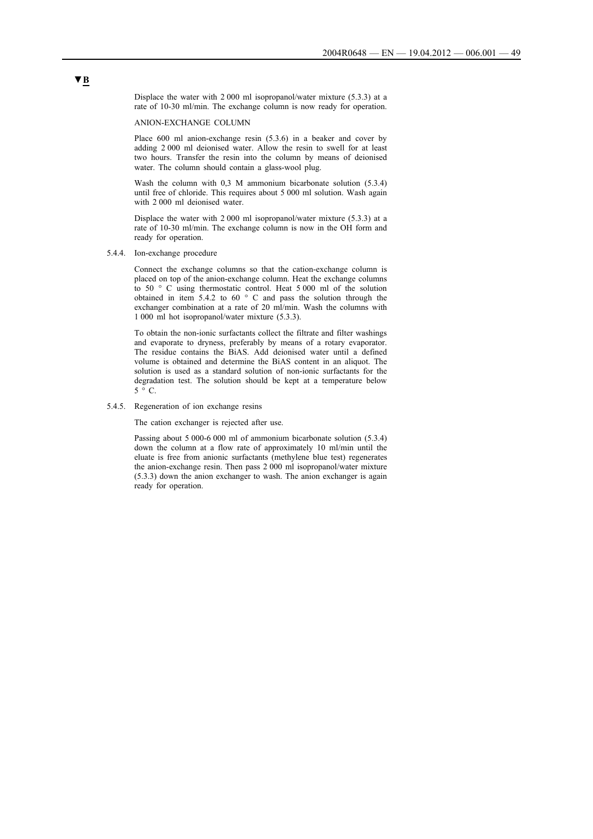Displace the water with 2 000 ml isopropanol/water mixture (5.3.3) at a rate of 10-30 ml/min. The exchange column is now ready for operation.

ANION-EXCHANGE COLUMN

Place 600 ml anion-exchange resin (5.3.6) in a beaker and cover by adding 2 000 ml deionised water. Allow the resin to swell for at least two hours. Transfer the resin into the column by means of deionised water. The column should contain a glass-wool plug.

Wash the column with 0,3 M ammonium bicarbonate solution (5.3.4) until free of chloride. This requires about 5 000 ml solution. Wash again with 2 000 ml deionised water.

Displace the water with 2 000 ml isopropanol/water mixture (5.3.3) at a rate of 10-30 ml/min. The exchange column is now in the OH form and ready for operation.

5.4.4. Ion-exchange procedure

Connect the exchange columns so that the cation-exchange column is placed on top of the anion-exchange column. Heat the exchange columns to 50 ° C using thermostatic control. Heat 5 000 ml of the solution obtained in item 5.4.2 to 60 ° C and pass the solution through the exchanger combination at a rate of 20 ml/min. Wash the columns with 1 000 ml hot isopropanol/water mixture (5.3.3).

To obtain the non-ionic surfactants collect the filtrate and filter washings and evaporate to dryness, preferably by means of a rotary evaporator. The residue contains the BiAS. Add deionised water until a defined volume is obtained and determine the BiAS content in an aliquot. The solution is used as a standard solution of non-ionic surfactants for the degradation test. The solution should be kept at a temperature below  $5 \degree C$ 

#### 5.4.5. Regeneration of ion exchange resins

The cation exchanger is rejected after use.

Passing about 5 000-6 000 ml of ammonium bicarbonate solution (5.3.4) down the column at a flow rate of approximately 10 ml/min until the eluate is free from anionic surfactants (methylene blue test) regenerates the anion-exchange resin. Then pass 2 000 ml isopropanol/water mixture (5.3.3) down the anion exchanger to wash. The anion exchanger is again ready for operation.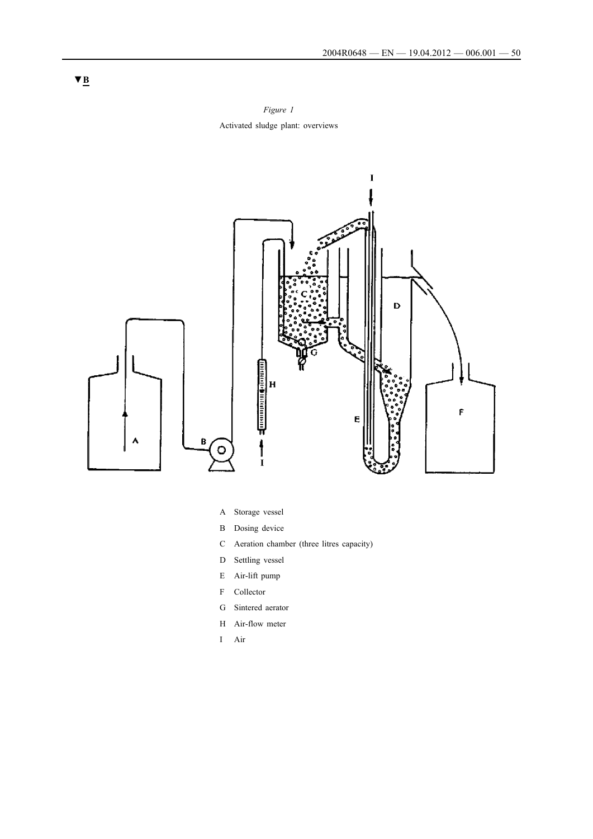*Figure 1* Activated sludge plant: overviews



- A Storage vessel
- B Dosing device
- C Aeration chamber (three litres capacity)
- D Settling vessel
- E Air-lift pump
- F Collector
- G Sintered aerator
- H Air-flow meter
- I Air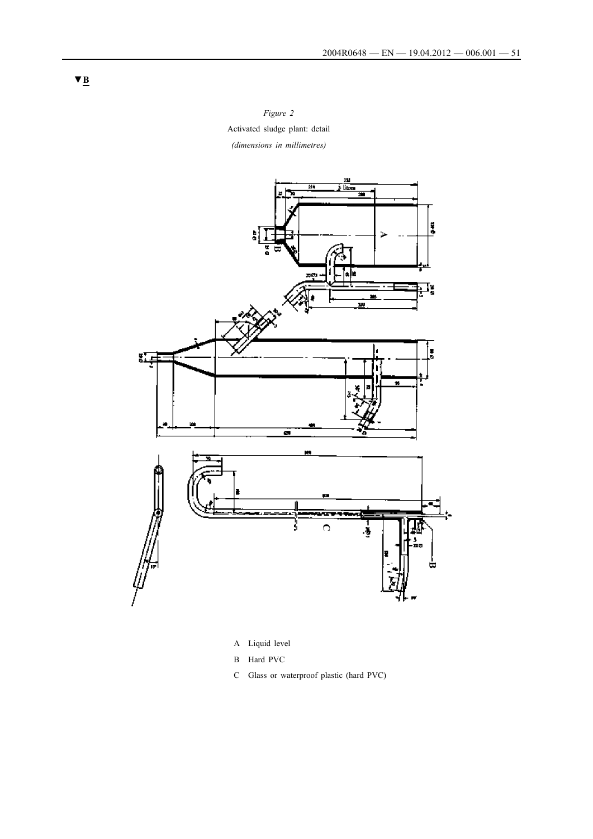*Figure 2* Activated sludge plant: detail *(dimensions in millimetres)*



- A Liquid level
- B Hard PVC
- C Glass or waterproof plastic (hard PVC)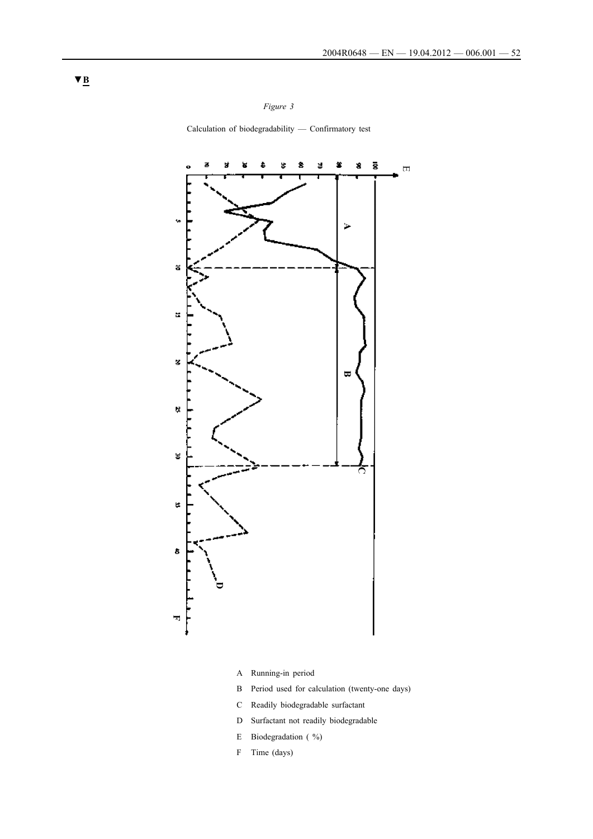*Figure 3*

Calculation of biodegradability — Confirmatory test



- A Running-in period
- B Period used for calculation (twenty-one days)
- C Readily biodegradable surfactant
- D Surfactant not readily biodegradable
- E Biodegradation (%)
- F Time (days)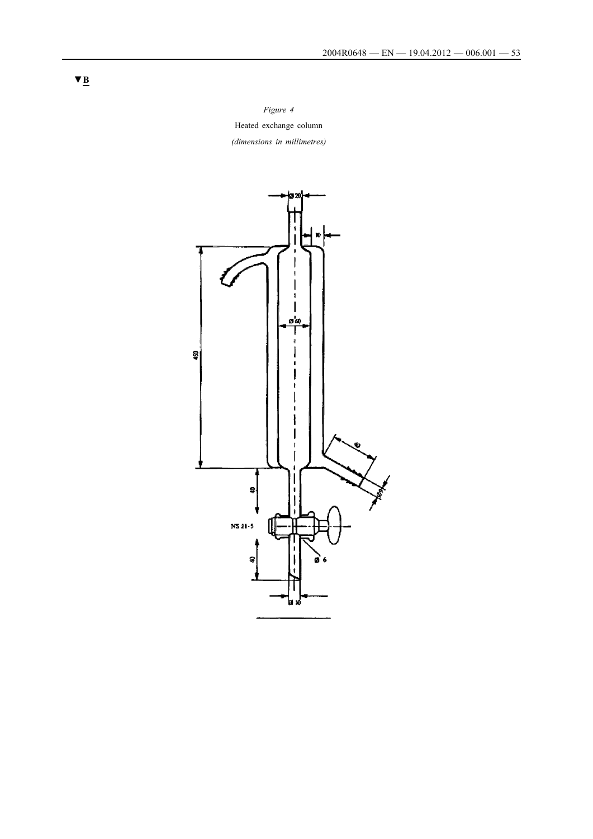*Figure 4* Heated exchange column *(dimensions in millimetres)*